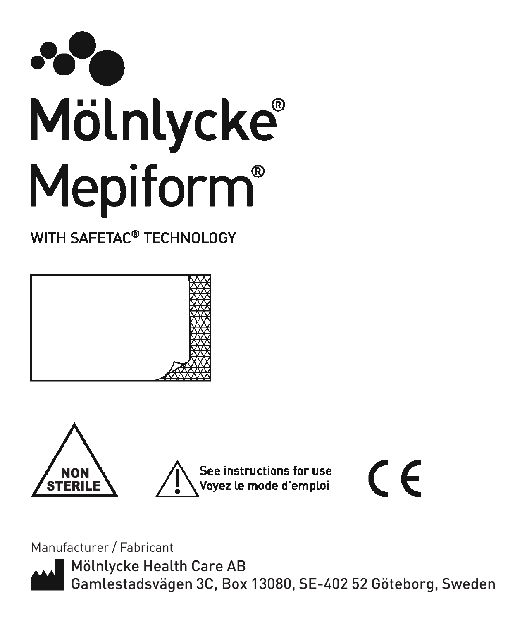

#### WITH SAFETAC® TECHNOLOGY





See instructions for use  $\hat{A}$  See instructions for use **c**  $\hat{B}$ Voyez le mode d'emploi

Manufacturer / Fabricant



Mölnlycke Health Care AB Gamlestadsvägen 3C, Box 13080, SE-402 52 Göteborg, Sweden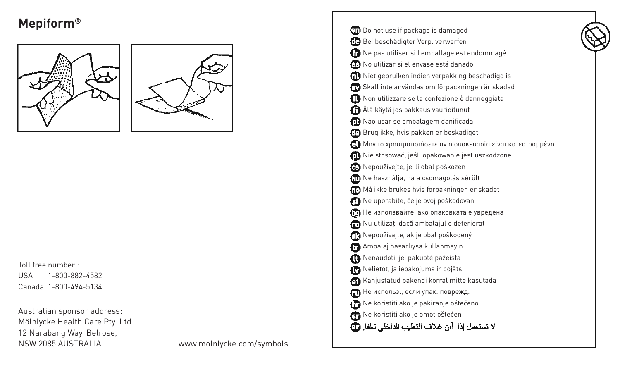

Toll free number : USA 1-800-882-4582 Canada 1-800-494-5134

Australian sponsor address: Mölnlycke Health Care Pty. Ltd. 12 Narabang Way, Belrose, NSW 2085 AUSTRALIA

www.molnlycke.com/symbols

Do not use if package is damaged Bei beschädigter Verp. verwerfen Ne pas utiliser si l'emballage est endommagé No utilizar si el envase está dañado  $\bigcap$  Niet gebruiken indien verpakking beschadigd is Skall inte användas om förpackningen är skadad Non utilizzare se la confezione è danneggiata Älä käytä jos pakkaus vaurioitunut Não usar se embalagem danificada Brug ikke, hvis pakken er beskadiget Μην το χρησιμοποιήσετε αν η συσκευασία είναι κατεστραμμένη Nie stosować, jeśli opakowanie jest uszkodzone Nepoužívejte, je-li obal poškozen Ne használja, ha a csomagolás sérült Må ikke brukes hvis forpakningen er skadet Ne uporabite, če je ovoj poškodovan Не използвайте, ако опаковката е увредена Nu utilizaţi dacă ambalajul e deteriorat Nepoužívajte, ak je obal poškodený Ambalaj hasarlıysa kullanmayın Nenaudoti, jei pakuotė pažeista Nelietot, ja iepakojums ir bojāts Kahjustatud pakendi korral mitte kasutada Не использ., если упак. поврежд. Ne koristiti ako je pakiranje oštećeno Ne koristiti ako je omot oštećen لا تستعمل إذا آان غلاف التعليب الداخلي تالفا [1]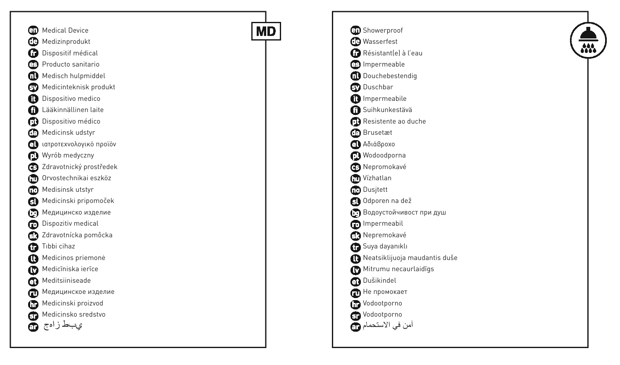

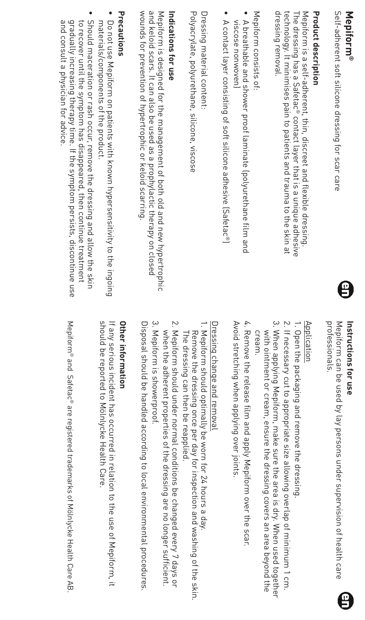Selt-adherent sott silicone dressing tor scar care Self-adherent soft silicone dressing for scar care

## **Product description Product description**

dressing removal. technology. It minimises pain to patients and trauma to the skin at The dressing has a Safetac® contact layer that is a unique adhesive Mepiform is a self-adherent, thin, discreet and flexible dressing dressing removal. technology. It minimises pain to patients and trauma to the skin at The dressing has a Safetac Mepiform is a self-adherent, thin, discreet and flexible dressing. ® contact layer that is a unique adhesive

Mepiform consists of Mepiform consists of:

- A breathable and shower proof laminate (polyurethane film and WSCOSe nonwoven viscose nonwoven) A breathable and shower proof laminate (polyurethane film and
- A contact layer consisting of soft silicone adhesive (Safetac®) A contact layer consisting of soft silicone adhesive (Safetac®)

Polyacrylate, polyurethane, silicone, viscose Dressing material content Polyacrylate, polyurethane, silicone, viscose Dressing material content:

## Indications for use **Indications for use**

and keloid scars. It can also be used as a prophylactic therapy on closed wounds for prevention of hypertrophic or keloid scarring. Mepiform is designed for the management of both old and new hypertrophic wounds for prevention of hypertrophic or keloid scarring. and keloid scars. It can also be used as a prophylactic therapy on closed Mepiform is designed for the management of both old and new hypertrophic

### Precautions **Precautions**

- Do not use Mepiform on patients with known hypersensitivity to the ingoing materials/components of the product. materials/components of the product. Do not use Mepiform on patients with known hypersensitivity to the ingoing
- gradually increasing therapy time. If the symptom persists, discontinue use Should maceration or rash occur, remove the dressing and allow the skin and consult a physician tor advice and consult a physician for advice. gradually increasing therapy time. If the symptom persists, discontinue use to recover until the symptom has disappeared, then continue treatment to recover until the symptom has disappeared, then continue treatment Should maceration or rash occur, remove the dressing and allow the skin



## **Instructions for use**  Instructions for use

proressionals. Mepitorm can be used by lay persons under supervision of health care professionals. Mepiform can be used by lay persons under supervision of health care

## Application

- 1. Open the packaging and remove the dressing. Open the packaging and remove the dressing.
- 2. If necessary cut to appropriate size allowing overlap of minimum 1 cm. If necessary cut to appropriate size allowing overlap of minimum 1 cm.
- 3. When applying Mepiform, make sure the area is dry. When used together When applying Mepiform, make sure the area is dry. When used together cream. with ointment or cream, ensure the dressing covers an area beyond the
- 4. Remove the release film and apply Mepiform over the scar Avoid stretching when applying over joints Avoid stretching when applying over joints. Remove the release film and apply Mepiform over the scar.

## Dressing change and removal Dressing change and remova

- 1. Mepiform should optimally be worn for 24 hours a day. The dressing can then be reapplied Remove the dressing once per day for inspection and washing of the skin. The dressing can then be reapplied. Remove the dressing once per day for inspection and washing of the skin. Mepiform should optimally be worn for 24 hours a day.
- 2. Mepiform should under normal conditions be changed every 7 days or when the adherent properties of the dressing are no longer sufficient when the adherent properties of the dressing are no longer sufficient. Mepiform should under normal conditions be changed every 7 days or
- 3. Mepiform is showerproot. Mepiform is showerproof.

Disposal should be handled according to local environmental procedures. Disposal should be handled according to local environmental procedures.

### Other informatior **Other information**

If any serious incident has occurred in relation to the use of Mepiform, it should be reported to Mölnlycke Health Care should be reported to Mölnlycke Health Care. If any serious incident has occurred in relation to the use of Mepiform, it

Mepiform® and Safetac® are registered trademarks of Mölnlycke Health Care AB. ® and Safetac® are registered trademarks of Mölnlycke Health Care AB.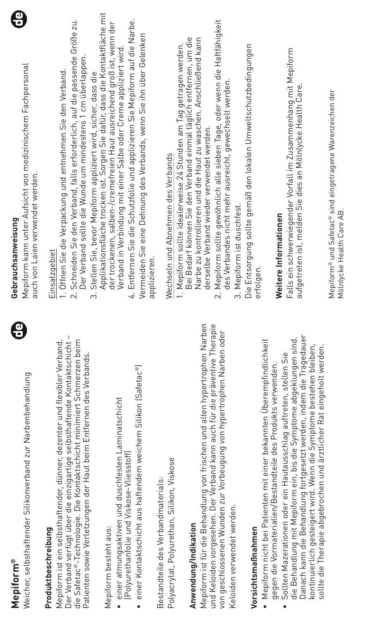| 0<br><b>Mepiform®</b>                                                                                                                                                                                                                                                                                                                                           | 0<br>Gebrauchsanweisung                                                                                                                                                                                                                                                                                                                                                                          |
|-----------------------------------------------------------------------------------------------------------------------------------------------------------------------------------------------------------------------------------------------------------------------------------------------------------------------------------------------------------------|--------------------------------------------------------------------------------------------------------------------------------------------------------------------------------------------------------------------------------------------------------------------------------------------------------------------------------------------------------------------------------------------------|
| Weicher, selbsthaftender Silikonverband zur Narbenbehandlung                                                                                                                                                                                                                                                                                                    | Mepiform kann unter Aufsicht von medizinischem Fachpersonal<br>auch von Laien verwendet werden                                                                                                                                                                                                                                                                                                   |
| Der Verband verfügt über die einzigartige selbsthaftende Kontaktschicht –<br>die Safetac®-Technologie. Die Kontaktschicht minimiert Schmerzen beim<br>Mepiform ist ein selbsthaftender, dünner, dezenter und flexibler Verband.<br>Patienten sowie Verletzungen der Haut beim Entfernen des Verbands.<br>Produktbeschreibung                                    | Schneiden Sie den Verband, falls erforderlich, auf die passende Größe zu.<br>Der Verband sollte die Wunde um mindestens 1 cm überlappen<br>1. Offnen Sie die Verpackung und entnehmen Sie den Verband.<br>Stellen Sie, bevor Mepiform appliziert wird, sicher, dass die<br>Einsatzgebiet<br>က်                                                                                                   |
| einer Kontaktschicht aus haftendem weichem Silikon (Safetac®)<br>einer atmungsaktiven und duschfesten Laminatschicht<br>(Polyurethanfolie und Viskose-Vliesstoff)<br>Mepiform besteht aus:                                                                                                                                                                      | Applikationsfläche trocken ist. Sorgen Sie dafür, dass die Kontaktfläche mit<br>4. Entfernen Sie die Schutzfolie und applizieren Sie Mepiform auf die Narbe.<br>der trockenen, salben-/cremefreien Haut ausreichend groß ist, wenn der<br>Vermeiden Sie eine Dehnung des Verbands, wenn Sie ihn über Gelenken<br>Verband in Verbindung mit einer Salbe oder Creme appliziert wird<br>applizieren |
| Polyacrylat, Polyurethan, Silikon, Viskose<br>Bestandteile des Verbandmaterials:<br>Anwendung/Indikation                                                                                                                                                                                                                                                        | Bei Bedarf können Sie den Verband einmal täglich entfernen, um die<br>1. Mepiform sollte idealerweise 24 Stunden am Tag getragen werden.<br>Wechseln und Abnehmen des Verbands                                                                                                                                                                                                                   |
| und Keloiden vorgesehen. Der Verband kann auch für die präventive Therapie<br>Mepiform ist für die Behandlung von frischen und alten hypertrophen Narben<br>von geschlossenen Wunden zur Vorbeugung von hypertrophen Narben oder<br>Keloiden verwendet werden                                                                                                   | 2. Mepiform sollte gewöhnlich alle sieben Tage, oder wenn die Haftfähigkeit<br>Narbe zu kontrollieren und die Haut zu waschen. Anschließend kann<br>des Verbandes nicht mehr ausreicht, gewechselt werden.<br>derselbe Verband wieder verwendet werden.<br>3. Mepiform ist duschfes                                                                                                              |
| Mepiform nicht bei Patienten mit einer bekannten Überempfindlichkeit<br>gegen die Vormaterialien/Bestandteile des Produkts verwender<br>Vorsichtsmaßnahmen                                                                                                                                                                                                      | Die Entsorgung sollte gemäß den lokalen Umweltschutzbedingungen<br>Neitere Informationen<br>erfolgen                                                                                                                                                                                                                                                                                             |
| Danach kann die Behandlung fortgesetzt werden, indem die Tragedauer<br>die Behandlung mit Mepiform ein, bis die Symptome abgeklungen sind.<br>kontinuierlich gesteigert wird. Wenn die Symptome bestehen bleiben.<br>sollte die Therapie abgebrochen und ärztlicher Rat eingeholt werden.<br>Sollten Mazerationen oder ein Hautausschlag auftreten, stellen Sie | Falls ein schwerwiegender Vorfall im Zusammenhang mit Mepiform<br>aufgetreten ist, melden Sie dies an Mölnlycke Health Care.                                                                                                                                                                                                                                                                     |
|                                                                                                                                                                                                                                                                                                                                                                 | Mepiform® und Safetac® sind eingetragene Warenzeichen der<br>Mölnivcke Health Care AB.                                                                                                                                                                                                                                                                                                           |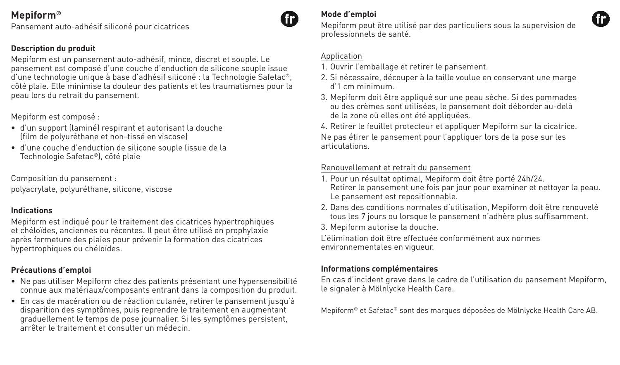Pansement auto-adhésif siliconé pour cicatrices

#### **Description du produit**

Mepiform est un pansement auto-adhésif, mince, discret et souple. Le pansement est composé d'une couche d'enduction de silicone souple issue d'une technologie unique à base d'adhésif siliconé : la Technologie Safetac®, côté plaie. Elle minimise la douleur des patients et les traumatismes pour la peau lors du retrait du pansement.

#### Mepiform est composé :

- d'un support (laminé) respirant et autorisant la douche (film de polyuréthane et non-tissé en viscose)
- d'une couche d'enduction de silicone souple (issue de la Technologie Safetac®), côté plaie

Composition du pansement :

polyacrylate, polyuréthane, silicone, viscose

#### **Indications**

Mepiform est indiqué pour le traitement des cicatrices hypertrophiques et chéloïdes, anciennes ou récentes. Il peut être utilisé en prophylaxie après fermeture des plaies pour prévenir la formation des cicatrices hypertrophiques ou chéloïdes.

#### **Précautions d'emploi**

- Ne pas utiliser Mepiform chez des patients présentant une hypersensibilité connue aux matériaux/composants entrant dans la composition du produit.
- En cas de macération ou de réaction cutanée, retirer le pansement jusqu'à disparition des symptômes, puis reprendre le traitement en augmentant graduellement le temps de pose journalier. Si les symptômes persistent, arrêter le traitement et consulter un médecin.

#### **Mode d'emploi**

Mepiform peut être utilisé par des particuliers sous la supervision de professionnels de santé.

#### Application

- 1. Ouvrir l'emballage et retirer le pansement.
- 2. Si nécessaire, découper à la taille voulue en conservant une marge d'1 cm minimum.
- 3. Mepiform doit être appliqué sur une peau sèche. Si des pommades ou des crèmes sont utilisées, le pansement doit déborder au-delà de la zone où elles ont été appliquées.

4. Retirer le feuillet protecteur et appliquer Mepiform sur la cicatrice. Ne pas étirer le pansement pour l'appliquer lors de la pose sur les articulations.

#### Renouvellement et retrait du pansement

- 1. Pour un résultat optimal, Mepiform doit être porté 24h/24. Retirer le pansement une fois par jour pour examiner et nettoyer la peau. Le pansement est repositionnable.
- 2. Dans des conditions normales d'utilisation, Mepiform doit être renouvelé tous les 7 jours ou lorsque le pansement n'adhère plus suffisamment.
- 3. Mepiform autorise la douche.

L'élimination doit être effectuée conformément aux normes environnementales en vigueur.

#### **Informations complémentaires**

En cas d'incident grave dans le cadre de l'utilisation du pansement Mepiform, le signaler à Mölnlycke Health Care.

Mepiform® et Safetac® sont des marques déposées de Mölnlycke Health Care AB.

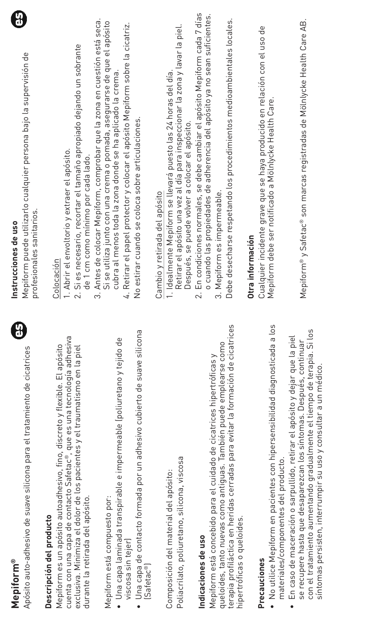| 9                                                                                                                                                                                                                                                                                                                | 8                                                                                                                                                                                                                                |
|------------------------------------------------------------------------------------------------------------------------------------------------------------------------------------------------------------------------------------------------------------------------------------------------------------------|----------------------------------------------------------------------------------------------------------------------------------------------------------------------------------------------------------------------------------|
| <b>Mepiform®</b>                                                                                                                                                                                                                                                                                                 | Instrucciones de uso                                                                                                                                                                                                             |
| Apósito auto-adhesivo de suave silicona para el tratamiento de cicatrices                                                                                                                                                                                                                                        | Mepiform puede utilizarlo cualquier persona bajo la supervisión de<br>profesionales sanitarios.                                                                                                                                  |
| cuenta con una capa de contacto Safetac <sup>er</sup> , que es una tecnologia adhesiva<br>Mepiform es un apósito autoadhesivo, fino, discreto y flexible. El apósito<br>exclusiva. Minimiza el dolor de los pacientes y el traumatismo en la piel<br>durante la retirada del apósito<br>Descripción del producto | Si es necesario, recortar el tamaño apropiado dejando un sobrante<br>1. Abrir el envoltorio y extraer el apósito.<br>de 1 cm como mínimo por cada lado.<br>Colocación                                                            |
| Una capa de contacto formada por un adhesivo cubierto de suave silicona                                                                                                                                                                                                                                          | Antes de colocar Mepiform, comprobar que la zona en cuestión está seca.                                                                                                                                                          |
| · Una capa laminada transpirable e impermeable (poliuretano y tejido de                                                                                                                                                                                                                                          | Si se utiliza junto con una crema o pomada, asegurarse de que el apósito                                                                                                                                                         |
| Mepiform está compuesto por:                                                                                                                                                                                                                                                                                     | 4. Retirar el papel protector y colocar el apósito Mepiform sobre la cicatriz.                                                                                                                                                   |
| viscosa sin tejer                                                                                                                                                                                                                                                                                                | cubra al menos toda la zona donde se ha aplicado la crema                                                                                                                                                                        |
| [Safetac®]                                                                                                                                                                                                                                                                                                       | No estirar cuando se coloca sobre articulaciones.                                                                                                                                                                                |
| $\bullet$                                                                                                                                                                                                                                                                                                        | က်                                                                                                                                                                                                                               |
| Poliacrilato, poliuretano, silicona, viscosa<br>Composición del material del apósito:                                                                                                                                                                                                                            | Retirar el apósito una vez al día para inspeccionar la zona y lavar la piel.<br>1. Idealmente Mepiform se llevará puesto las 24 horas del día<br>Después, se puede volver a colocar el apósito.<br>Cambio y retirada del apósito |
| terapia profiláctica en heridas cerradas para evitar la formación de cicatrices                                                                                                                                                                                                                                  | En condiciones normales, se debe cambiar el apósito Mepiform cada 7 días                                                                                                                                                         |
| queloides, tanto nuevas como antiquas. También puede emplearse como                                                                                                                                                                                                                                              | o cuando las propiedades de adherencia del apósito ya no sean suficientes.                                                                                                                                                       |
| Mepiform está concebido para el cuidado de cicatrices hipertróficas y                                                                                                                                                                                                                                            | Debe desecharse respetando los procedimientos medioambientales locales.                                                                                                                                                          |
| hipertróficas o queloides.                                                                                                                                                                                                                                                                                       | 3. Mepiform es impermeable.                                                                                                                                                                                                      |
| Indicaciones de uso                                                                                                                                                                                                                                                                                              | $\sim$                                                                                                                                                                                                                           |
| No utilice Mepiform en pacientes con hipersensibilidad diagnosticada a los                                                                                                                                                                                                                                       | Cualquier incidente grave que se haya producido en relación con el uso de                                                                                                                                                        |
| materiales/componentes del producto.                                                                                                                                                                                                                                                                             | Mepiform debe ser notificado a Mölnlycke Health Care.                                                                                                                                                                            |
| Precauciones                                                                                                                                                                                                                                                                                                     | Otra información                                                                                                                                                                                                                 |
| con el tratamiento aumentando gradualmente el tiempo de terapia. Si los<br>En caso de maceración o sarpullido, retirar el apósito y dejar que la piel<br>se recupere hasta que desaparezcan los síntomas. Después, continuar<br>síntomas persisten, interrumpir su uso y consultar a un médico.                  | Mepiform® y Safetac® son marcas registradas de Mölnlycke Health Care AB.                                                                                                                                                         |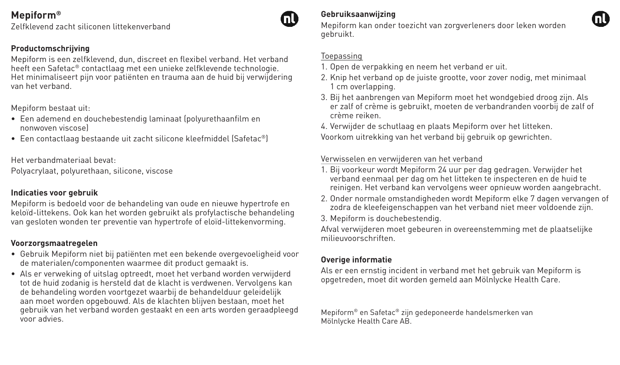Zelfklevend zacht siliconen littekenverband

#### **Productomschrijving**

Mepiform is een zelfklevend, dun, discreet en flexibel verband. Het verband heeft een Safetac® contactlaag met een unieke zelfklevende technologie. Het minimaliseert pijn voor patiënten en trauma aan de huid bij verwijdering van het verband.

#### Mepiform bestaat uit:

- Een ademend en douchebestendig laminaat (polyurethaanfilm en nonwoven viscose)
- Een contactlaag bestaande uit zacht silicone kleefmiddel (Safetac®)

Het verbandmateriaal bevat:

Polyacrylaat, polyurethaan, silicone, viscose

#### **Indicaties voor gebruik**

Mepiform is bedoeld voor de behandeling van oude en nieuwe hypertrofe en keloïd-littekens. Ook kan het worden gebruikt als profylactische behandeling van gesloten wonden ter preventie van hypertrofe of eloïd-littekenvorming.

#### **Voorzorgsmaatregelen**

- Gebruik Mepiform niet bij patiënten met een bekende overgevoeligheid voor de materialen/componenten waarmee dit product gemaakt is.
- Als er verweking of uitslag optreedt, moet het verband worden verwijderd tot de huid zodanig is hersteld dat de klacht is verdwenen. Vervolgens kan de behandeling worden voortgezet waarbij de behandelduur geleidelijk aan moet worden opgebouwd. Als de klachten blijven bestaan, moet het gebruik van het verband worden gestaakt en een arts worden geraadpleegd voor advies.



#### Mepiform kan onder toezicht van zorgverleners door leken worden gebruikt.

#### **Toepassing**

- 1. Open de verpakking en neem het verband er uit.
- 2. Knip het verband op de juiste grootte, voor zover nodig, met minimaal 1 cm overlapping.
- 3. Bij het aanbrengen van Mepiform moet het wondgebied droog zijn. Als er zalf of crème is gebruikt, moeten de verbandranden voorbij de zalf of crème reiken.
- 4. Verwijder de schutlaag en plaats Mepiform over het litteken. Voorkom uitrekking van het verband bij gebruik op gewrichten.

#### Verwisselen en verwijderen van het verband

- 1. Bij voorkeur wordt Mepiform 24 uur per dag gedragen. Verwijder het verband eenmaal per dag om het litteken te inspecteren en de huid te reinigen. Het verband kan vervolgens weer opnieuw worden aangebracht.
- 2. Onder normale omstandigheden wordt Mepiform elke 7 dagen vervangen of zodra de kleefeigenschappen van het verband niet meer voldoende zijn.
- 3. Mepiform is douchebestendig.

Afval verwijderen moet gebeuren in overeenstemming met de plaatselijke milieuvoorschriften.

#### **Overige informatie**

Als er een ernstig incident in verband met het gebruik van Mepiform is opgetreden, moet dit worden gemeld aan Mölnlycke Health Care.

Mepiform® en Safetac® zijn gedeponeerde handelsmerken van Mölnlycke Health Care AB.

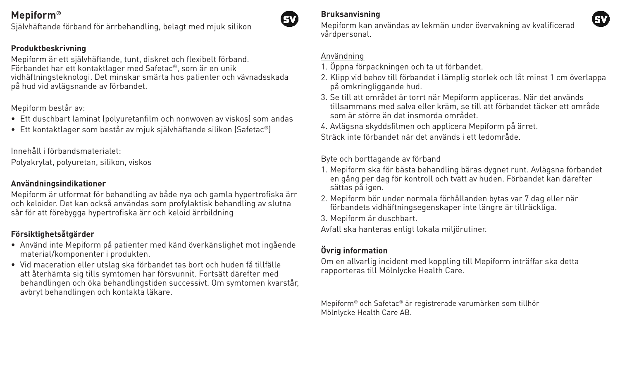Självhäftande förband för ärrbehandling, belagt med mjuk silikon

#### **Produktbeskrivning**

Mepiform är ett självhäftande, tunt, diskret och flexibelt förband. Förbandet har ett kontaktlager med Safetac®, som är en unik vidhäftningsteknologi. Det minskar smärta hos patienter och vävnadsskada på hud vid avlägsnande av förbandet.

#### Mepiform består av:

- Ett duschbart laminat (polyuretanfilm och nonwoven av viskos) som andas
- Ett kontaktlager som består av mjuk självhäftande silikon (Safetac®)

Innehåll i förbandsmaterialet:

Polyakrylat, polyuretan, silikon, viskos

#### **Användningsindikationer**

Mepiform är utformat för behandling av både nya och gamla hypertrofiska ärr och keloider. Det kan också användas som profylaktisk behandling av slutna sår för att förebygga hypertrofiska ärr och keloid ärrbildning

#### **Försiktighetsåtgärder**

- Använd inte Mepiform på patienter med känd överkänslighet mot ingående material/komponenter i produkten.
- Vid maceration eller utslag ska förbandet tas bort och huden få tillfälle att återhämta sig tills symtomen har försvunnit. Fortsätt därefter med behandlingen och öka behandlingstiden successivt. Om symtomen kvarstår, avbryt behandlingen och kontakta läkare.

#### **Bruksanvisning**

SV.

Mepiform kan användas av lekmän under övervakning av kvalificerad vårdpersonal.

#### Användning

- 1. Öppna förpackningen och ta ut förbandet.
- 2. Klipp vid behov till förbandet i lämplig storlek och låt minst 1 cm överlappa på omkringliggande hud.
- 3. Se till att området är torrt när Mepiform appliceras. När det används tillsammans med salva eller kräm, se till att förbandet täcker ett område som är större än det insmorda området.
- 4. Avlägsna skyddsfilmen och applicera Mepiform på ärret. Sträck inte förbandet när det används i ett ledområde.

#### Byte och borttagande av förband

- 1. Mepiform ska för bästa behandling bäras dygnet runt. Avlägsna förbandet en gång per dag för kontroll och tvätt av huden. Förbandet kan därefter sättas på igen.
- 2. Mepiform bör under normala förhållanden bytas var 7 dag eller när förbandets vidhäftningsegenskaper inte längre är tillräckliga.
- 3. Mepiform är duschbart.

Avfall ska hanteras enligt lokala miljörutiner.

#### **Övrig information**

Om en allvarlig incident med koppling till Mepiform inträffar ska detta rapporteras till Mölnlycke Health Care.

Mepiform® och Safetac® är registrerade varumärken som tillhör Mölnlycke Health Care AB.

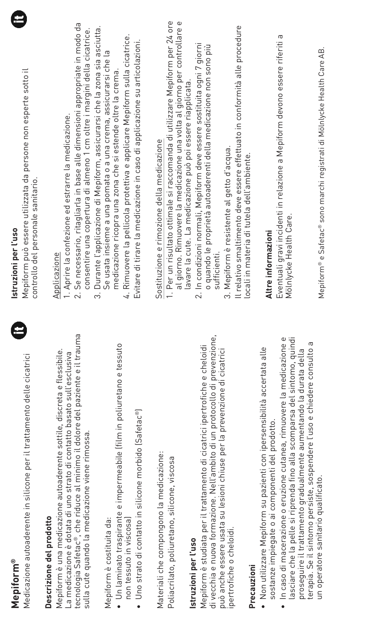| 的      |  |
|--------|--|
|        |  |
|        |  |
| ŗ<br>J |  |
|        |  |
| o      |  |
| α      |  |
| 2      |  |
|        |  |
|        |  |

Medicazione autoaderente in silicone per il trattamento delle cicatrici Medicazione autoaderente in silicone per il trattamento delle cicatrici

## Descrizione del prodotto **Descrizione del prodotto**

tecnologia Safetac®, che riduce al minimo il dolore del paziente e il trauma ecnologia Safetac®, che riduce al minimo il dolore del paziente e il trauma Mepiform è una medicazione autoaderente sottile, discreta e flessibile. Mepiform è una medicazione autoaderente sottile, discreta e flessibile. La medicazione è dotata di uno strato di contatto basato sull'esclusiva a medicazione è dotata di uno strato di contatto basato sull'esclusiva sulla cute quando la medicazione viene rimossa. sulla cute quando la medicazione viene rimossa.

Mepiform è costituita da: Mepiform è costituita da:

- · Un laminato traspirante e impermeabile (film in poliuretano e tessuto • Un laminato traspirante e impermeabile (film in poliuretano e tessuto non tessuto in viscosa) non tessuto in viscosa)
- Uno strato di contatto in silicone morbido (Safetac®) • Uno strato di contatto in silicone morbido (Safetac®)

Materiali che compongono la medicazione: Materiali che compongono la medicazione: Poliacrilato, poliuretano, silicone, viscosa Poliacrilato, poliuretano, silicone, viscosa

## **Istruzioni per l'uso**  struzioni per l'uso

di vecchia e nuova formazione. Nell'ambito di un protocollo di prevenzione. di vecchia e nuova formazione. Nell'ambito di un protocollo di prevenzione, Mepiform è studiata per il trattamento di cicatrici ipertrofiche e cheloidi Mepiform è studiata per il trattamento di cicatrici ipertrofiche e cheloidi può anche essere usata su lesioni chiuse per la prevenzione di cicatrici ouò anche essere usata su lesioni chiuse per la prevenzione di cicatrici ipertrofiche o cheloidi. pertrofiche o cheloidi

### Precauzioni **Precauzioni**

- · Non utilizzare Mepiform su pazienti con ipersensibilità accertata alle • Non utilizzare Mepiform su pazienti con ipersensibilità accertata alle sostanze impiegate o ai componenti del prodotto. sostanze impiegate o ai componenti del prodotto.
- In caso di macerazione o eruzione cutanea, rimuovere la medicazione e lasciare che la pelle si riprenda fino alla scomparsa del sintomo, quindi In caso di macerazione o eruzione cutanea, rimuovere la medicazione e asciare che la pelle si riprenda fino alla scomparsa del sintomo, quindi terapia. Se il sintomo persiste, sospendere l'uso e chiedere consulto a terapia. Se il sintomo persiste, sospendere l'uso e chiedere consulto a oroseguire il trattamento gradualmente aumentando la durata della proseguire il trattamento gradualmente aumentando la durata della un operatore sanitario qualificato. un operatore sanitario qualificato.



e

## struzioni per l'uso **Istruzioni per l'uso**

Mepiform può essere utilizzata da persone non esperte sotto il Mepiform può essere utilizzata da persone non esperte sotto il controllo del personale sanitario. controllo del personale sanitario.

### Applicazione Applicazione

- I. Aprire la confezione ed estrarre la medicazione. 1. Aprire la confezione ed estrarre la medicazione.
- 2. Se necessario, ritagliarla in base alle dimensioni appropriate in modo da 2. Se necessario, ritagliarla in base alle dimensioni appropriate in modo da consentire una copertura di almeno 1 cm oltre i margini della cicatrice. consentire una copertura di almeno 1 cm oltre i margini della cicatrice.
	- 3. Durante l'applicazione di Mepiform, assicurarsi che la zona sia asciutta. 3. Durante l'applicazione di Mepiform, assicurarsi che la zona sia asciutta. Se usata insieme a una pomata o a una crema, assicurarsi che la Se usata insieme a una pomata o a una crema, assicurarsi che medicazione ricopra una zona che si estende oltre la crema. medicazione ricopra una zona che si estende oltre la crema.
		- 4. Rimuovere la pellicola protettiva e applicare Mepiform sulla cicatrice. 4. Rimuovere la pellicola protettiva e applicare Mepiform sulla cicatrice. Evitare di tirare la medicazione in caso di applicazione su articolazioni. Evitare di tirare la medicazione in caso di applicazione su articolazioni.

# Sostituzione e rimozione della medicazione Sostituzione e rimozione della medicazione

- 1. Per un risultato ottimale si raccomanda di utilizzare Mepiform per 24 ore al giorno. Rimuovere la medicazione una volta al giorno per controllare e al giorno. Rimuovere la medicazione una volta al giorno per controllare e 1. Per un risultato ottimale si raccomanda di utilizzare Mepiform per 24 ore lavare la cute. La medicazione può poi essere riapplicata. lavare la cute. La medicazione può poi essere riapplicata
- 2. In condizioni normali, Mepiform deve essere sostituita ogni 7 giorni 2. In condizioni normali, Mepiform deve essere sostituita ogni 7 giorni o quando le proprietà autoaderenti della medicazione non sono più o quando le proprietà autoaderenti della medicazione non sono più sufficienti.
- 3. Mepiform è resistente al getto d'acqua. 3. Mepiform è resistente al getto d'acqua.

Il relativo smaltimento deve essere effettuato in conformità alle procedure Il relativo smaltimento deve essere effettuato in conformità alle procedure ocali in materia di tutela dell'ambiente. locali in materia di tutela dell'ambiente.

### Altre informazioni **Altre informazioni**

Eventuali gravi incidenti in relazione a Mepiform devono essere riferiti a Eventuali gravi incidenti in relazione a Mepiform devono essere riferiti a Mölnlycke Health Care. Mölnlycke Health Care.

Mepiform® e Safetac® sono marchi registrati di Mölnlycke Health Care AB. Mepiform® e Safetac® sono marchi registrati di Mölnlycke Health Care AB.

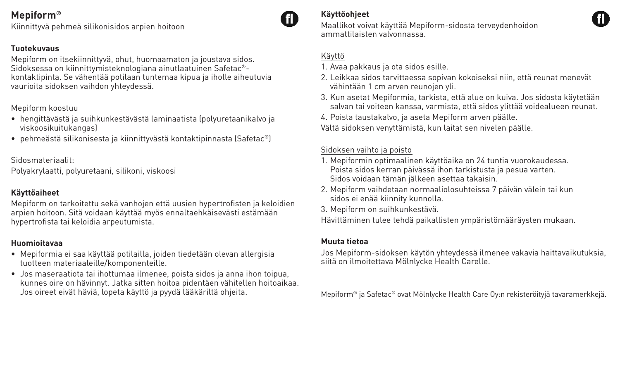Kiinnittyvä pehmeä silikonisidos arpien hoitoon

#### **Tuotekuvaus**

Mepiform on itsekiinnittyvä, ohut, huomaamaton ja joustava sidos. Sidoksessa on kiinnittymisteknologiana ainutlaatuinen Safetac® kontaktipinta. Se vähentää potilaan tuntemaa kipua ja iholle aiheutuvia vaurioita sidoksen vaihdon yhteydessä.

#### Mepiform koostuu

- hengittävästä ja suihkunkestävästä laminaatista (polyuretaanikalvo ja viskoosikuitukangas)
- pehmeästä silikonisesta ja kiinnittyvästä kontaktipinnasta (Safetac®)

#### Sidosmateriaalit:

Polyakrylaatti, polyuretaani, silikoni, viskoosi

#### **Käyttöaiheet**

Mepiform on tarkoitettu sekä vanhojen että uusien hypertrofisten ja keloidien arpien hoitoon. Sitä voidaan käyttää myös ennaltaehkäisevästi estämään hypertrofista tai keloidia arpeutumista.

#### **Huomioitavaa**

- Mepiformia ei saa käyttää potilailla, joiden tiedetään olevan allergisia tuotteen materiaaleille/komponenteille.
- Jos maseraatiota tai ihottumaa ilmenee, poista sidos ja anna ihon toipua, kunnes oire on hävinnyt. Jatka sitten hoitoa pidentäen vähitellen hoitoaikaa. Jos oireet eivät häviä, lopeta käyttö ja pyydä lääkäriltä ohjeita.



#### **Käyttöohjeet**

Maallikot voivat käyttää Mepiform-sidosta terveydenhoidon ammattilaisten valvonnassa.

#### Käyttö

- 1. Avaa pakkaus ja ota sidos esille.
- 2. Leikkaa sidos tarvittaessa sopivan kokoiseksi niin, että reunat menevät vähintään 1 cm arven reunojen yli.
- 3. Kun asetat Mepiformia, tarkista, että alue on kuiva. Jos sidosta käytetään salvan tai voiteen kanssa, varmista, että sidos ylittää voidealueen reunat.
- 4. Poista taustakalvo, ja aseta Mepiform arven päälle. Vältä sidoksen venyttämistä, kun laitat sen nivelen päälle.

#### Sidoksen vaihto ja poisto

- 1. Mepiformin optimaalinen käyttöaika on 24 tuntia vuorokaudessa. Poista sidos kerran päivässä ihon tarkistusta ja pesua varten. Sidos voidaan tämän jälkeen asettaa takaisin.
- 2. Mepiform vaihdetaan normaaliolosuhteissa 7 päivän välein tai kun sidos ei enää kiinnity kunnolla.
- 3. Mepiform on suihkunkestävä.

Hävittäminen tulee tehdä paikallisten ympäristömääräysten mukaan.

#### **Muuta tietoa**

Jos Mepiform-sidoksen käytön yhteydessä ilmenee vakavia haittavaikutuksia, siitä on ilmoitettava Mölnlycke Health Carelle.

Mepiform® ja Safetac® ovat Mölnlycke Health Care Oy:n rekisteröityjä tavaramerkkejä.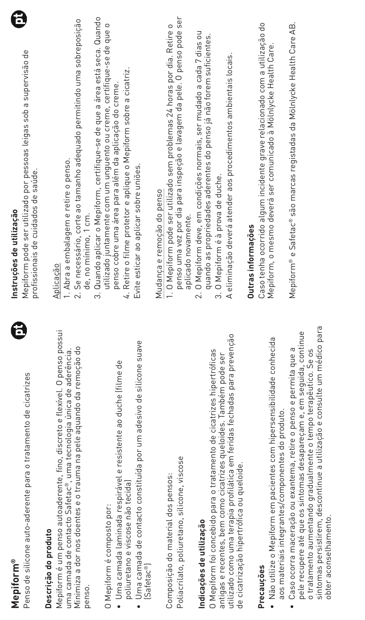| 8<br><b>Mepiform®</b>                                                                                                                                                                                                                                                                                              | 8<br>Instruções de utilização                                                                                                                                                                                                                                                                                                   |
|--------------------------------------------------------------------------------------------------------------------------------------------------------------------------------------------------------------------------------------------------------------------------------------------------------------------|---------------------------------------------------------------------------------------------------------------------------------------------------------------------------------------------------------------------------------------------------------------------------------------------------------------------------------|
| Penso de silicone auto-aderente para o tratamento de cicatrizes                                                                                                                                                                                                                                                    | Mepiform pode ser utilizado por pessoas leigas sob a supervisão de<br>profissionais de cuidados de saúde.                                                                                                                                                                                                                       |
| Mepiform é um penso autoaderente, fino, discreto e flexível. O penso possui<br>Minimiza a dor nos doentes e o trauma na pele aquando da remoção do<br>uma camada de contacto Safetac®, uma tecnologia única de aderência.<br>Descricão do produto<br>penso                                                         | 2. Se necessário, corte ao tamanho adequado permitindo uma sobreposição<br>1. Abra a embalagem e retire o penso.<br>de, no mínimo, 1 cm.<br>Aplicação                                                                                                                                                                           |
| Uma camada de contacto constituída por um adesivo de silicone suave<br>· Uma camada laminada respirável e resistente ao duche (filme de<br>poliuretano e viscose não tecida)<br>O Mepiform é composto por:<br>Safetac®<br>$\bullet$                                                                                | Quando aplicar o Mepiform, certifique-se de que a área está seca. Quando<br>utilizado juntamente com um unquento ou creme, certifique-se de que o<br>4. Retire o filme protetor e aplique o Mepiform sobre a cicatriz.<br>penso cobre uma área para além da aplicação do creme.<br>Evite esticar ao aplicar sobre uniões.<br>က် |
| Poliacrilato, poliuretano, silicone, viscose<br>Composição do material dos pensos:                                                                                                                                                                                                                                 | penso uma vez por dia para inspeção e lavagem da pele. O penso pode ser<br>1. O Mepiform pode ser utilizado sem problemas 24 horas por dia. Retire o<br>Mudanca e remocão do penso<br>aplicado novamente.                                                                                                                       |
| utilizado como uma terapia profilática em feridas fechadas para prevenção<br>O Mepiform foi concebido para o tratamento de cicatrizes hipertróficas<br>antigas e recentes, bem como cicatrizes queloides. Também pode ser<br>de cicatrização hipertrófica ou queloide.<br>Indicações de utilização                 | 2. O Mepiform deve, em condições normais, ser mudado a cada 7 dias ou<br>quando as propriedades aderentes do penso já não forem suficientes.<br>A eliminação deverá atender aos procedimentos ambientais locais.<br>3. O Mepiform é à prova de duche.                                                                           |
|                                                                                                                                                                                                                                                                                                                    | Outras informações                                                                                                                                                                                                                                                                                                              |
| Não utilize o Mepiform em pacientes com hipersensibilidade conhecida<br>aos materiais integrantes/componentes do produto.<br>Precaucões<br>$\bullet$                                                                                                                                                               | Caso tenha ocorrido algum incidente grave relacionado com a utilização do<br>Mepiform, o mesmo deverá ser comunicado à Mölnlycke Health Care                                                                                                                                                                                    |
| sintomas persistirem, descontinue a utilização e consulte um médico para<br>pele recupere até que os sintomas desapareçam e, em seguida, continue<br>Caso ocorra maceração ou exantema, retire o penso e permita que a<br>o tratamento aumentando gradualmente o tempo terapêutico. Se os<br>obter aconselhamento. | Mepiform® e Safetac® são marcas registadas da Mölnlycke Health Care AB.                                                                                                                                                                                                                                                         |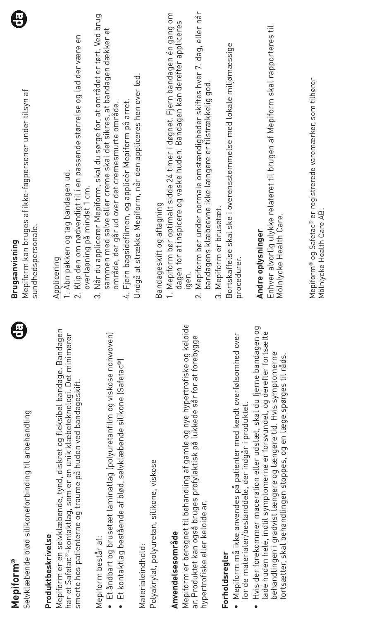| 9<br>Mepiform®                                                                                                                                                                                                                                                                                 | €<br>Brugsanvisning                                                                                                                                                                                                                                                |
|------------------------------------------------------------------------------------------------------------------------------------------------------------------------------------------------------------------------------------------------------------------------------------------------|--------------------------------------------------------------------------------------------------------------------------------------------------------------------------------------------------------------------------------------------------------------------|
| Selvklæbende blød silikoneforbinding til arbehandling                                                                                                                                                                                                                                          | Mepiform kan bruges af ikke-fagpersoner under tilsyn af<br>sundhedspersonale.                                                                                                                                                                                      |
| Produktbeskrivelse                                                                                                                                                                                                                                                                             |                                                                                                                                                                                                                                                                    |
| Mepiform er en selvklæbende, tynd, diskret og fleksibel bandage. Bandagen<br>har et Safetac®-kontaktlag, som er en unik klæbeteknologi. Det minimerer<br>smerte hos patienterne og traume på huden ved bandageskift.                                                                           | 2. Klip den om nødvendigt til i en passende størrelse og lad der være en<br>1. Abn pakken og tag bandagen ud.<br>overlapning på mindst 1 cm.<br>Applicering                                                                                                        |
| • Et åndbart og brusetæt laminatlag (polyuretanfilm og viskose nonwoven)<br>Et kontaktlag bestående af blød, selvklæbende silikone (Safetac®)<br>Mepiform består af:                                                                                                                           | 3. Når du applicerer Mepiform, skal du sørge for, at området er tørt. Ved brug<br>sammen med salve eller creme skal det sikres, at bandagen dækker et<br>4. Fjern bagsidefilmen, og applicér Mepiform på arret.<br>område, der går ud over det cremesmurte område. |
| Materiale indhold:                                                                                                                                                                                                                                                                             | Undgå at strække Mepiform, når den appliceres hen over led.                                                                                                                                                                                                        |
| Polyakrylat, polyuretan, silikone, viskose                                                                                                                                                                                                                                                     | Bandageskift og aftagning                                                                                                                                                                                                                                          |
| Mepiform er beregnet til behandling af gamle og nye hypertrofiske og keloide<br>ar. Produktet kan også bruges profylaktisk på lukkede sår for at forebygge<br>Anvendelsesområde                                                                                                                | 1. Mepiform bør optimalt sidde 24 timer i døgnet. Fjern bandagen én gang om<br>dagen for at inspicere og vaske huden. Bandagen kan derefter appliceres<br>iqen.                                                                                                    |
| hypertrofiske eller keloide ar.                                                                                                                                                                                                                                                                | 2. Mepiform bør under normale omstændigheder skiftes hver 7. dag, eller når<br>bandagens klæbeevne ikke længere er tilstrækkelig god.                                                                                                                              |
| Mepiform må ikke anvendes på patienter med kendt overfølsomhed over<br>for de materialer/bestanddele, der indgår i produktet<br>Forholdsrealer                                                                                                                                                 | Bortskaffelse skal ske i overensstemmelse med lokale miljømæssige<br>3. Mepiform er brusetæt.<br>procedurer                                                                                                                                                        |
| Hvis der forekommer maceration eller udslæt, skal du fjerne bandagen og<br>lade huden hele, indtil symptomerne er forsvundet, og derefter fortsætte<br>behandlingen i gradvist længere og længere tid. Hvis symptomerne<br>fortsætter, skal behandlingen stoppes, og en læge spørges til råds. | Enhver alvorlig ulykke relateret til brugen af Mepiform skal rapporteres til<br>Mölnlycke Health Care.<br>Andre oplysninger                                                                                                                                        |
|                                                                                                                                                                                                                                                                                                |                                                                                                                                                                                                                                                                    |
|                                                                                                                                                                                                                                                                                                | Mepiform® og Safetac® er registrerede varemærker, som tilhører<br>Mölnlycke Health Care AB.                                                                                                                                                                        |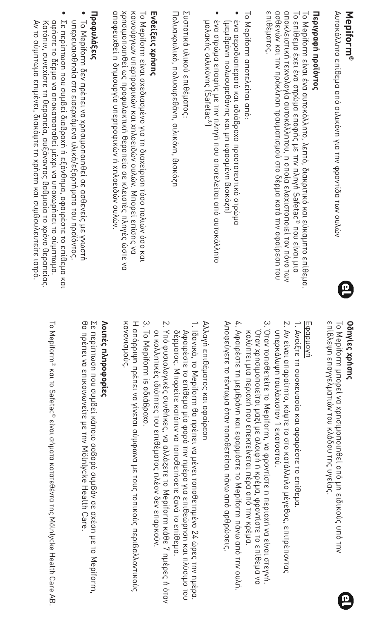Αυτοκόλλητο επίθεμα από σιλικόνη για την φροντίδα των ουλών Aυτοκόλλητο επίθεμα από σιλικόνη για την φροντίδα των ουλών

## Περιγραφή προϊόντος **Περιγραφή προϊόντος**

Enlesplatoc. ασθενών και την πρόκληση τραυματισμού στο δέρμα κατά την αφαίρεση του апоклетотки техуолоуга аитоколлогон, п опога елахтотопогет тоу поуо тωу To sniðeµa éxer éva orpáµa snagnc µe my n $\lambda$ nyn Safetac® nou eivar µra To Mepiform είναι ένα αυτοκόλλητο, λεπτό, διακριτικό και εύκαμπτο επίθεμα επιθέματος. ασθενών και την πρόκληση τραυματισμού στο δέρμα κατά την αφαίρεση του αποκλειστική τεχνολογία αυτοκόλλητου, η οποία ελαχιστοποιεί τον πόνο των Το επίθεμα έχει ένα στρώμα επαφής με την πληγή Safetac Το Mepiform είναι ένα αυτοκόλλητο, λεπτό, διακριτικό και εύκαμπτο επίθεμα. ® που είναι μια

To Mepiform anoralectral ano Το Mepiform αποτελείται από:

- eva aepoðuaneparo kau aðuáBpoxo npoorareumko orpúpua lpspävn πολυουρεθάνης και μη υφασμένη Βισκόςη (μεμβράνη πολυουρεθάνης και μη υφασμένη βισκόζη) ένα αεροδιαπερατό και αδιάβροχο προστατευτικό στρώμα
- ενα στρωμα επαφής με την πληγή που αποτελείται από αυτοκόλλητο μαλακής σιλικόνης (Safetac®) μαλακής σιλικόνης (Safetac®) ένα στρώμα επαφής με την πληγή που αποτελείται από αυτοκόλλητο

Συστατικά υλικού επιθέματος Συστατικά υλικού επιθέματος:

Πολυακρυλικό, πολυουρεθάνη, σιλικόνη, βισκόςπ Πολυακρυλικό, πολυουρεθάνη, σιλικόνη, βισκόζη

### Ενδείξεις χρήσης **Ενδείξεις χρήσης**

апофеихвет п опноирую и пертрофиках п хлисею сохолом хрпацрапотыве ως профилактикп Өерапеца ое клецотес пллуес ωоте уо καινούργιων υπερτροφικών και χηλοειδών ουλών. Μπορεί επίσης να Το Mepiform είναι σχεδιασμένο για τη διαχείριση τόσο παλιών όσο και αποφευχθεί η δημιουργία υπερτροφικών ή χηλοειδών ουλών. χρησιμοποιηθεί ως προφυλακτική θεραπεία σε κλειστές πληγές ώστε να καινούργιων υπερτροφικών και χηλοειδών ουλών. Μπορεί επίσης να Το Mepiform είναι σχεδιασμένο για τη διαχείριση τόσο παλιών όσο και

### Προφυλάξεις **Προφυλάξεις**

- υπερευαισθησία στα εισερχόμενα υλικά/εξαρτήματα του προϊόντος. To Mepiform δεν πρέπει να χρησιμοποιηθεί σε ασθενείς με γνωστή υπερευαισθησία στα εισερχόμενα υλικά/εξαρτήματα του προϊόντος. Το Mepiform δεν πρέπει να χρησιμοποιηθεί σε ασθενείς με γνωστή
- αφήστε το δέρμα να αποκατασταθεί μέχρι να υποχωρήσει το σύμπτωμα Σε περίπτωση που συμβεί διαβροχή ή εξάνθημα, αφαιρέστε το επίθεμα κα Ауто συμπιωμα επιμενει, όιακοψτε τη χρηστη και συμβουλευτειτε ιατρο Αν το σύμπτωμα επιμένει, διακόψτε τη χρήστη και συμβουλευτείτε ιατρό. Katoniv, auvexiote tn θεραπεία, auξάνοντας Baθμιαία το χρόνο θεραπείας. Κατόπιν, συνεχίστε τη θεραπεία, αυξάνοντας βαθμιαία το χρόνο θεραπείας. αφήστε το δέρμα να αποκατασταθεί μέχρι να υποχωρήσει το σύμπτωμα. Σε περίπτωση που συμβεί διαβροχή ή εξάνθημα, αφαιρέστε το επίθεμα και

### Oonyiec xphonc **Οδηγίες χρήσης**

e

επιενεψη επαγγελματιων του κλαοου της υγειας To Mepiform μπορεί να χρησιμοποιηθεί από μη ειδικούς υπό την επίβλεψη επαγγελματιών του κλάδου της υγείας. Το Mepiform μπορεί να χρησιμοποιηθεί από μη ειδικούς υπό την

e

## Εφαρμογή

- 1. Avoište m ouakeuaaia kai apaipėote to enideµa Ανοίξτε τη συσκευασία και αφαιρέστε το επίθεμα.
- 2. Αν είναι απαραίτητο, κόψτε το στο κατάλληλο μέγεθος, επιτρέποντας UNBRIGAUND TOUNDXION I EKATODOU υπερκάλυψη τουλάχιστον 1 εκατοστού. Αν είναι απαραίτητο, κόψτε το στο κατάλληλο μέγεθος, επιτρέποντας
- 3. Otav tonoθετείτε το Mepiform, να φροντίστε η περιοχή να είναι στεγνή. калитте µиа периохт пои епектеілетац пера апо тпу креµа Oray xpnouponerrau ustu su shown n kpsug povriore ro enubepa vo καλύπτει μια περιοχή που επεκτείνεται πέρα από την κρέμα. Όταν χρησιμοποιείται μαζί με αλοιφή ή κρέμα, φροντίστε το επίθεμα να Όταν τοποθετείτε το Mepiform, να φροντίστε η περιοχή να είναι στεγνή.
- 4. Aφαιρέστε τη μεμβράνη και εφαρμόστε το Mepiform πάνω από την ουλή Αφαιρέστε τη μεμβράνη και εφαρμόστε το Mepiform πάνω από την ουλή.

Αποφευγετε το τεντωμα όταν τοποθετείται πάνω από αρθρώσεις Αποφεύγετε το τέντωμα όταν τοποθετείται πάνω από αρθρώσεις.

# Αλλαγή επιθέματος και αφαίρεση Αλλαγή επιθέματος και αφαίρεση

- 1. Iðavika, ro Mepiform θα πρέπει να μένει τοποθετημένο 24 ώρες την ημέρα. δέρματος. Μπορείτε κατόπιν να τοποθετήσετε ξανά το επίθεμα Aqoupeone to enterpa piq qopa thy npepa yia enteropnan kai anoundo tou δέρματος. Μπορείτε κατόπιν να τοποθετήσετε ξανά το επίθεμα. Αφαιρέστε το επίθεμα μία φορά την ημέρα για επιθεώρηση και πλύσιμο του Ιδανικά, το Mepiform θα πρέπει να μένει τοποθετημένο 24 ώρες την ημέρα.
- 2. Yno φυσιολογικές συνθήκες, να αλλάζετε το Mepiform κάθε 7 ημέρες ή όταν οι κολλητικές ιδιότητες του επιθέματος πλέον δεν επαρκούν οι κολλητικές ιδιότητες του επιθέματος πλέον δεν επαρκούν. Υπό φυσιολογικές συνθήκες, να αλλάζετε το Mepiform κάθε 7 ημέρες ή όταν
- 3. To Mepiform is aoudspoxo Το Mepiform is αδιάβροχο.

Kanovrapuc Η απόρριψη πρέπει να γίνεται σύμφωνα με τους τοπικούς περιβαλλοντικούς κανονισμούς. Η απόρριψη πρέπει να γίνεται σύμφωνα με τους τοπικούς περιβαλλοντικούς

## *Nounés* nhapopopies **Λοιπές πληροφορίες**

θα πρέπει να επικοινωνείτε με την Mölnlycke Health Care θα πρέπει να επικοινωνείτε με την Mölnlycke Health Care. <u>2ε перитюоп пои συμβει капого σоВаро συμβαν σε σχεση με το Mepitorm,</u> Σε περίπτωση που συμβεί κάποιο σοβαρό συμβάν σε σχέση με το Mepiform,

lo Mepitorm® και το Satetac® είναι σήματα κατατεθέντα της Μοιηγске Health Care AB Το Mepiform ® και το Safetac® είναι σήματα κατατεθέντα της Mölnlycke Health Care AB.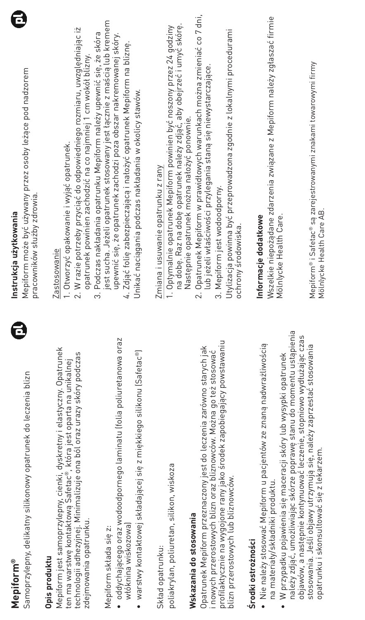| c |                          |
|---|--------------------------|
|   |                          |
|   |                          |
|   | $\overline{\phantom{a}}$ |
|   |                          |



### Opis produktu **Opis produktu**

Mepíform jest samoprzylepny, cienki, dyskretny i elastyczny. Opatrunek<br>ten ma warstwę kontaktową Safetac®, która jest oparta na unikalnej Mepiform jest samoprzylepny, cienki, dyskretny i elastyczny. Opatrunek technologii adhezyjnej. Minimalizuje ona ból oraz urazy skóry podczas technologii adhezyjnej. Minimalizuje ona ból oraz urazy skóry podczas ten ma warstwę kontaktową Safetac®, która jest oparta na unikalnej zdejmowania opatrunku. zdejmowania opatrunku.

Mepiform składa sie z: Mepiform składa się z:

- · oddychającego oraz wodoodpornego laminatu (folia poliuretanowa oraz • oddychającego oraz wodoodpornego laminatu (folia poliuretanowa oraz włóknina wiskozowa) włóknina wiskozowa)
	- warstwy kontaktowej składającej się z miękkiego silikonu (Safetac®) • warstwy kontaktowej składającej się z miękkiego silikonu (Safetac®)

Skład opatrunku: Skład opatrunku:

poliakrylan, poliuretan, silikon, wiskoza poliakrylan, poliuretan, silikon, wiskoza

## Nskazania do stosowania **Wskazania do stosowania**

profilaktycznie na wygojone rany jako środek zapobiegający powstawaniu orofilaktycznie na wygojone rany jako środek zapobiegający powstawaniu Joatrunek Mepiform przeznaczony jest do leczenia zarówno starych jak Opatrunek Mepiform przeznaczony jest do leczenia zarówno starych jak i nowych przerostowych blizn oraz bliznowców. Można go też stosować nowych przerostowych blizn oraz bliznowców. Można go też stosować olizn przerostowych lub bliznowców. blizn przerostowych lub bliznowców.

## Środki ostrożności **Środki ostrożności**

- Nie należy stosować Mepiform u pacjentów ze znaną nadwrażliwością · Nie należy stosować Mepiform u pacjentów ze znaną nadwrażliwością na materiały/składniki produktu. na materiały/składniki produktu.
- należy zdiąć, umożliwiając skórze poprawę stanu do momentu ustąpienia należy zdjąć, umożliwiając skórze poprawę stanu do momentu ustąpienia objawów, a następnie kontynuować leczenie, stopniowo wydłużając czas objawów, a nastepnie kontynuować leczenie, stopniowo wydłużając czas stosowania. Jeśli objawy utrzymują się, należy zaprzestać stosowania stosowania. Jeśli objawy utrzymują się, należy zaprzestać stosowania W przypadku pojawienia się maceracji skóry lub wysypki opatrunek • W przypadku pojawienia się maceracji skóry lub wysypki opatrunek opatrunku i skonsultować się z lekarzem. opatrunku i skonsultować sie z lekarzem.



e

## **Instrukcja użytkowania**  nstrukcja użytkowania

Mepiform może być używany przez osoby leżące pod nadzorem Mepiform może być używany przez osoby leżące pod nadzorem pracowników służby zdrowia. pracowników służby zdrowia.

### Zastosowanie Zastosowanie

- I. Otworzyć opakowanie i wyjąć opatrunek. 1. Otworzyć opakowanie i wyjąć opatrunek.
- 2. W razie potrzeby przyciąć do odpowiedniego rozmiaru, uwzględniając iż 2. W razie potrzeby przyciąć do odpowiedniego rozmiaru, uwzględniając iż opatrunek powinien zachodzić na co najmniej 1 cm wokół blizny. opatrunek powinien zachodzić na co najmniej 1 cm wokół blizny.
- jest sucha. Jeżeli opatrunek stosowany jest łącznie z maścią lub kremem jest sucha. Jeżeli opatrunek stosowany jest łącznie z maścią lub kremem 3. Podczas nakładania opatrunku Mepiform należy upewnić się, że skóra 3. Podczas nakładania opatrunku Mepiform należy upewnić się, że skóra upewnić się, że opatrunek zachodzi poza obszar nakremowanej skóry. upewnić się, że opatrunek zachodzi poza obszar nakremowanej skóry.
- 4. Zdjąć folię zabezpieczającą i nałożyć opatrunek Mepiform na bliznę. 4. Zdjąć folię zabezpieczającą i nałożyć opatrunek Mepiform na bliznę.

Jnikać naciagania podczas nakładania w okolicy stawów. Unikać naciągania podczas nakładania w okolicy stawów.

# Zmiana i usuwanie opatrunku z rany Zmiana i usuwanie opatrunku z rany

- na dobę. Raz na dobę opatrunek należy zdjąć, aby obejrzeć i umyć skórę. na dobe. Raz na dobe opatrunek należy zdjąć, aby obejrzeć i umyć skórę. 1. Optymalnie opatrunek Mepiform powinien być noszony przez 24 godziny 1. Optymalnie opatrunek Mepiform powinien być noszony przez 24 godziny Następnie opatrunek można nałożyć ponownie. Następnie opatrunek można nałożyć ponownie.
- 2. Opatrunek Mepiform w prawidłowych warunkach można zmieniać co 7 dni, 2. Opatrunek Mepiform w prawidłowych warunkach można zmieniać co 7 dni, lub jeżeli właściwości przylegania staną się niewystarczające. lub jeżeli właściwości przylegania staną się niewystarczające.
	- 3. Mepiform jest wodoodporny. 3. Mepiform jest wodoodporny.

Utylizacja powinna być przeprowadzona zgodnie z lokalnymi procedurami Utylizacja powinna być przeprowadzona zgodnie z lokalnymi procedurami ochrony środowiska. ochrony środowiska.

## Informacje dodatkowe **Informacje dodatkowe**

Wszelkie niepożądane zdarzenia związane z Mepiform należy zgłaszać firmie Wszelkie niepożądane zdarzenia związane z Mepiform należy zgłaszać firmie Violnlycke Health Care. Mölnlycke Health Care.

Mepiform® i Safetac® są zarejestrowanymi znakami towarowymi firmy Mepiform® i Safetac® są zarejestrowanymi znakami towarowymi firmy Mölnlycke Health Care AB. Mölnlycke Health Care AB.

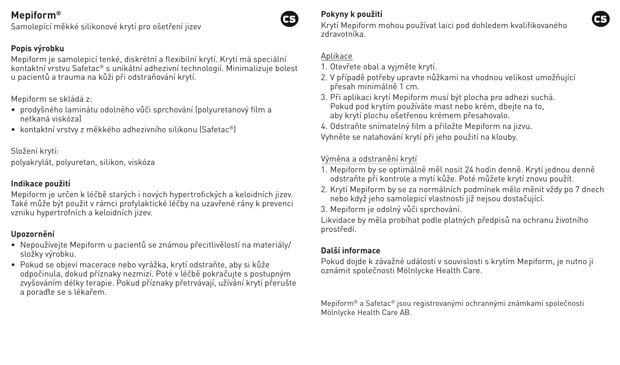Samolepící měkké silikonové krytí pro ošetření jizev

#### **Popis výrobku**

Mepiform je samolepicí tenké, diskrétní a flexibilní krytí. Krytí má speciální kontaktní vrstvu Safetac® s unikátní adhezivní technologií. Minimalizuje bolest u pacientů a trauma na kůži při odstraňování krytí.

#### Mepiform se skládá z:

- prodyšného laminátu odolného vůči sprchování (polyuretanový film a netkaná viskóza)
- kontaktní vrstvy z měkkého adhezivního silikonu (Safetac®)

Složení krytí: polyakrylát, polyuretan, silikon, viskóza

#### **Indikace použití**

Mepiform je určen k léčbě starých i nových hypertrofických a keloidních jizev. Také může být použit v rámci profylaktické léčby na uzavřené rány k prevenci vzniku hypertrofních a keloidních jizev.

#### **Upozornění**

- Nepoužívejte Mepiform u pacientů se známou přecitlivělostí na materiály/ složky výrobku.
- Pokud se objeví macerace nebo vyrážka, krytí odstraňte, aby si kůže odpočinula, dokud příznaky nezmizí. Poté v léčbě pokračujte s postupným zvyšováním délky terapie. Pokud příznaky přetrvávají, užívání krytí přerušte a poraďte se s lékařem.

#### **Pokyny k použití**

Krytí Mepiform mohou používat laici pod dohledem kvalifikovaného zdravotníka.

#### Aplikace

- 1. Otevřete obal a vyjměte krytí.
- 2. V případě potřeby upravte nůžkami na vhodnou velikost umožňující přesah minimálně 1 cm.
- 3. Při aplikaci krytí Mepiform musí být plocha pro adhezi suchá. Pokud pod krytím používáte mast nebo krém, dbejte na to, aby krytí plochu ošetřenou krémem přesahovalo.
- 4. Odstraňte snímatelný film a přiložte Mepiform na jizvu. Vyhněte se natahování krytí při jeho použití na klouby.

#### Výměna a odstranění krytí

- 1. Mepiform by se optimálně měl nosit 24 hodin denně. Krytí jednou denně odstraňte při kontrole a mytí kůže. Poté můžete krytí znovu použít.
- 2. Krytí Mepiform by se za normálních podmínek mělo měnit vždy po 7 dnech nebo když jeho samolepicí vlastnosti již nejsou dostačující.
- 3. Mepiform je odolný vůči sprchování.

Likvidace by měla probíhat podle platných předpisů na ochranu životního prostředí.

#### **Další informace**

Pokud dojde k závažné události v souvislosti s krytím Mepiform, je nutno ji oznámit společnosti Mölnlycke Health Care.

Mepiform® a Safetac® jsou registrovanými ochrannými známkami společnosti Mölnlycke Health Care AB.



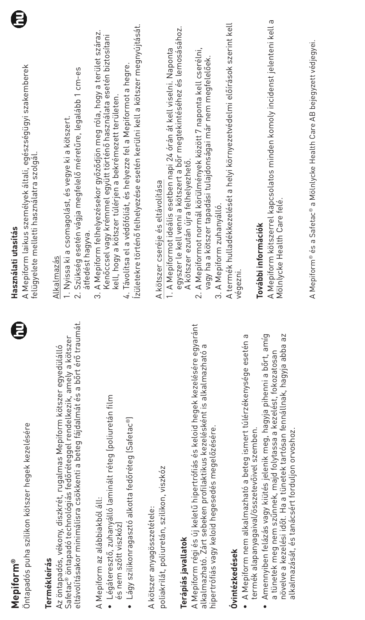| ₿<br>Ontapadós puha szilikon kötszer hegek kezelésére<br><b>Mepiform®</b>                                                                                                                                                                                                                                                   | Ē<br>A Mepiform laikus személyek általi, egészségügyi szakemberek<br>felügyelete melletti használatra szolgál<br>Használati utasítás                                                                                                                                                                                                                              |
|-----------------------------------------------------------------------------------------------------------------------------------------------------------------------------------------------------------------------------------------------------------------------------------------------------------------------------|-------------------------------------------------------------------------------------------------------------------------------------------------------------------------------------------------------------------------------------------------------------------------------------------------------------------------------------------------------------------|
| eltávolításakor minimálisra csökkenti a beteg fájdalmát és a bőrt érő traumát.<br>Safetac® öntapadó technológiás fedőréteggel rendelkezik, amely a kötszer<br>Az öntapadós, vékony, diszkrét, rugalmas Mepiform kötszer egyedülálló<br>Termékleírás                                                                         | 2. Szükség esetén vágja megfelelő méretűre, legalább 1 cm-es<br>1. Nyissa ki a csomagolást, és vegye ki a kötszert.<br>átfedést hagyva<br>Alkalmazás                                                                                                                                                                                                              |
| · Légáteresztő, zuhanyálló laminált réteg (poliuretán film<br>• Lágy szilikonragasztó alkotta fedőréteg (Safetac®)<br>A Mepiform az alábbiakból áll:<br>és nem szőtt viszkóz                                                                                                                                                | Ízületekre történő felhelyezése esetén kerülni kell a kötszer megnyújtását.<br>A Mepiform felhelyezésekor győződjön meg róla, hogy a terület száraz.<br>Kenőccsel vagy krémmel együtt történő használata esetén biztosítani<br>4. Távolítsa el a védőfóliát, és helyezze fel a Mepiformot a hegre.<br>kell, hogy a kötszer túlérjen a bekrémezett területen<br>က် |
| poliakrilát, poliuretán, szilikon, viszkóz<br>A kötszer anvagösszetétele:                                                                                                                                                                                                                                                   | 1. A Mepiformot ideális esetben napi 24 órán át kell viselni. Naponta<br>A kötszer cseréje és eltávolítása                                                                                                                                                                                                                                                        |
| A Mepiform régi és új keletű hipertrófiás és keloid hegek kezelésére egyaránt<br>alkalmazható. Zárt sebeken profilaktikus kezelésként is alkalmazható a<br>hipertrófiás vagy keloid hegesedés megelőzésére.<br>Terápiás javallatok                                                                                          | egyszer le kell venni a kötszert a bőr megtekintéséhez és lemosásához.<br>A Mepiformot normál körülmények között 7 naponta kell cserélni.<br>vagy ha a kötszer tapadási tulajdonságai már nem megfelelőek<br>A kötszer ezután újra felhelyezhető.<br>3. A Mepiform zuhanyálló.<br>2.                                                                              |
| A Mepiform nem alkalmazható a beteg ismert túlérzékenysége esetén a<br><b>Ovintézkedések</b>                                                                                                                                                                                                                                | A termék hulladékkezelését a helyi környezetvédelmi előírások szerint kell<br>vegezni                                                                                                                                                                                                                                                                             |
| Amennyiben felázás vagy kiütés jelenik meg, hagyja pihenni a bőrt, amíg<br>növelve a kezelési időt. Ha a tünetek tartósan fennállnak, hagyja abba az<br>a tünetek meg nem szűnnek, majd folytassa a kezelést, fokozatosan<br>termék alapanyaqaival/összetevőivel szemben.<br>alkalmazását, és tanácsért forduljon orvoshoz. | A Mepiform kötszerrel kapcsolatos minden komoly incidenst jelenteni kell a<br>Mölnlycke Health Care felé.<br>További információk                                                                                                                                                                                                                                  |
|                                                                                                                                                                                                                                                                                                                             | A Mepiform® és a Safetac® a Mölnlycke Health Care AB bejegyzett védjegyei.                                                                                                                                                                                                                                                                                        |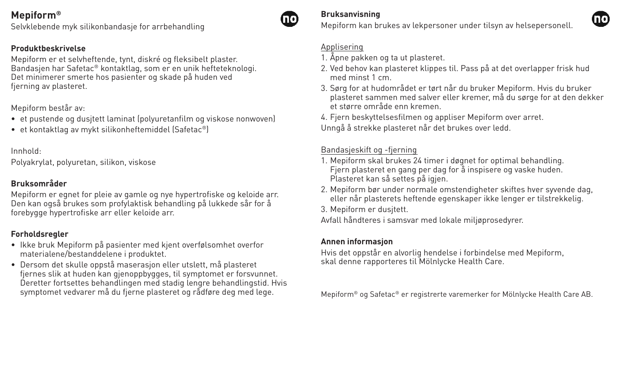Selvklebende myk silikonbandasje for arrbehandling

#### **Produktbeskrivelse**

Mepiform er et selvheftende, tynt, diskré og fleksibelt plaster. Bandasjen har Safetac® kontaktlag, som er en unik hefteteknologi. Det minimerer smerte hos pasienter og skade på huden ved fjerning av plasteret.

Mepiform består av:

- et pustende og dusjtett laminat (polyuretanfilm og viskose nonwoven)
- et kontaktlag av mykt silikonheftemiddel (Safetac®)

Innhold:

Polyakrylat, polyuretan, silikon, viskose

#### **Bruksområder**

Mepiform er egnet for pleie av gamle og nye hypertrofiske og keloide arr. Den kan også brukes som profylaktisk behandling på lukkede sår for å forebygge hypertrofiske arr eller keloide arr.

#### **Forholdsregler**

- Ikke bruk Mepiform på pasienter med kjent overfølsomhet overfor materialene/bestanddelene i produktet.
- Dersom det skulle oppstå maserasjon eller utslett, må plasteret fjernes slik at huden kan gjenoppbygges, til symptomet er forsvunnet. Deretter fortsettes behandlingen med stadig lengre behandlingstid. Hvis symptomet vedvarer må du fjerne plasteret og rådføre deg med lege.



Mepiform kan brukes av lekpersoner under tilsyn av helsepersonell.

#### Applisering

- 1. Åpne pakken og ta ut plasteret.
- 2. Ved behov kan plasteret klippes til. Pass på at det overlapper frisk hud med minst 1 cm.
- 3. Sørg for at hudområdet er tørt når du bruker Mepiform. Hvis du bruker plasteret sammen med salver eller kremer, må du sørge for at den dekker et større område enn kremen.
- 4. Fjern beskyttelsesfilmen og appliser Mepiform over arret. Unngå å strekke plasteret når det brukes over ledd.

#### Bandasjeskift og -fjerning

- 1. Mepiform skal brukes 24 timer i døgnet for optimal behandling. Fjern plasteret en gang per dag for å inspisere og vaske huden. Plasteret kan så settes på igjen.
- 2. Mepiform bør under normale omstendigheter skiftes hver syvende dag eller når plasterets heftende egenskaper ikke lenger er tilstrekkelig.
- 3. Mepiform er dusjtett.

Avfall håndteres i samsvar med lokale miljøprosedyrer.

#### **Annen informasjon**

Hvis det oppstår en alvorlig hendelse i forbindelse med Mepiform, skal denne rapporteres til Mölnlycke Health Care.

Mepiform® og Safetac® er registrerte varemerker for Mölnlycke Health Care AB.

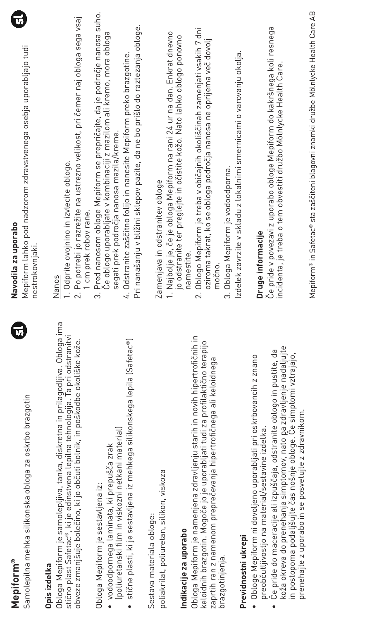| $\overline{u}$<br>Samolepilna mehka silikonska obloga za oskrbo brazgotin<br>Mepiform®                                                                                                                                                                                                                                                         | $\overline{v}$<br>Mepiform lahko pod nadzorom zdravstvenega osebja uporabljajo tudi<br>Navodila za uporabo<br>nestrokovnjaki                                                                                                                                                                                                                                 |
|------------------------------------------------------------------------------------------------------------------------------------------------------------------------------------------------------------------------------------------------------------------------------------------------------------------------------------------------|--------------------------------------------------------------------------------------------------------------------------------------------------------------------------------------------------------------------------------------------------------------------------------------------------------------------------------------------------------------|
| Obloga Mepiform je samolepljiva, tanka, diskretna in prilagodljiva. Obloga ima                                                                                                                                                                                                                                                                 | 2. Po potrebi jo razrežite na ustrezno velikost, pri čemer naj obloga sega vsaj                                                                                                                                                                                                                                                                              |
| stično plast Safetac®, ki je edinstvena lepilna tehnologija. Ta pri odstranitvi                                                                                                                                                                                                                                                                | 1. Odprite ovojnino in izvlecite oblogo.                                                                                                                                                                                                                                                                                                                     |
| obveze zmanjšuje bolečino, ki jo občuti bolnik, in poškodbe okoliške kože.                                                                                                                                                                                                                                                                     | I cm prek robov rane.                                                                                                                                                                                                                                                                                                                                        |
| Opis izdelka                                                                                                                                                                                                                                                                                                                                   | Nanos                                                                                                                                                                                                                                                                                                                                                        |
| stične plasti, ki je sestavljena iz mehkega silikonskega lepila (Safetac®)<br>(poliuretanski film in viskozni netkani material)<br>• vodoodpornega laminata, ki prepušča zrak<br>Obloga Mepiform je sestavljena iz:                                                                                                                            | Pred nanosom obloge Mepiform se prepričajte, da je področje nanosa suho.<br>Pri nanašanju v bližini sklepov pazite, da ne bo prišlo do raztezanja obloge.<br>Ce oblogo uporabljate v kombinaciji z mazilom ali kremo, mora obloga<br>4. Odstranite zaščitno folijo in nanesite Mepiform preko brazgotine.<br>segati prek področja nanosa mazila/kreme.<br>က် |
| poliakrilat, poliuretan, silikon, viskoza                                                                                                                                                                                                                                                                                                      | 1. Najbolje je, če je obloga Mepiform na rani 24 ur na dan. Enkrat dnevno                                                                                                                                                                                                                                                                                    |
| Sestava materiala obloge:                                                                                                                                                                                                                                                                                                                      | Zamenjava in odstranitev obloge                                                                                                                                                                                                                                                                                                                              |
| Obloga Mepiform je namenjena zdravljenju starih in novih hipertrofičnih in                                                                                                                                                                                                                                                                     | 2. Oblogo Mepiform je treba v običajnih okoliščinah zamenjati vsakih 7 dni                                                                                                                                                                                                                                                                                   |
| keloidnih brazgotin. Mogoče jo je uporabljati tudi za profilaktično terapijo                                                                                                                                                                                                                                                                   | jo odstranite ter preglejte in očistite kožo. Nato lahko oblogo ponovno                                                                                                                                                                                                                                                                                      |
| zaprtih ran z namenom preprečevanja hipertrofičnega ali keloidnega                                                                                                                                                                                                                                                                             | oziroma takrat, ko se obloga področja nanosa ne oprijema več dovolj                                                                                                                                                                                                                                                                                          |
| Indikacije za uporabo                                                                                                                                                                                                                                                                                                                          | namestite.                                                                                                                                                                                                                                                                                                                                                   |
| Previdnostni ukrep                                                                                                                                                                                                                                                                                                                             | Izdelek zavrzite v skladu z lokalnimi smernicami o varovanju okolja.                                                                                                                                                                                                                                                                                         |
| brazgotinjenja                                                                                                                                                                                                                                                                                                                                 | 3. Obloga Mepiform je vodoodporna.                                                                                                                                                                                                                                                                                                                           |
| koža okreva do prenehanja simptomov, nato pa zdravljenje nadaljujte<br>Ce pride do maceracije ali izpuščaja, odstranite oblogo in pustite, da<br>in postopoma podaljšujte čas nošnje obloge. Ce simptomi vztrajajo,<br>· Obloge Mepiform ni dovoljeno uporabljati pri oskrbovancih z znano<br>preobčutljivostjo na material/sestavine izdelka. | Če pride v povezavi z uporabo obloge Mepiform do kakršnega koli resnega<br>incidenta, je treba o tem obvestiti družbo Mölnlycke Health Care.<br>Druge informacije                                                                                                                                                                                            |
| prenehajte z uporabo in se posvetujte z zdravnikom                                                                                                                                                                                                                                                                                             | Mepiform® in Safetac® sta zaščiteni blagovni znamki družbe Mölnlycke Health Care AB                                                                                                                                                                                                                                                                          |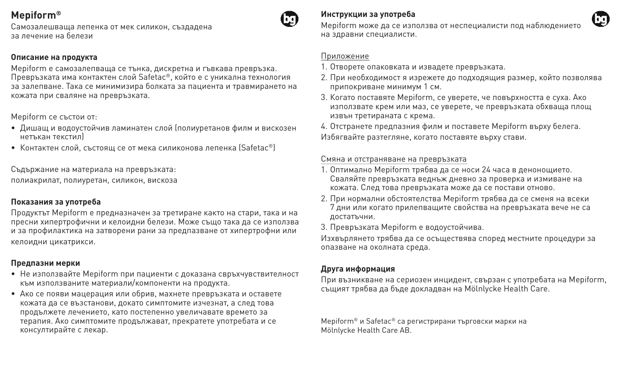Самозалешваща лепенка от мек силикон, създадена за лечение на белези

#### **Описание на продукта**

Mepiform е самозалепваща се тънка, дискретна и гъвкава превръзка. Превръзката има контактен слой Safetac®, който е с уникална технология за залепване. Така се минимизира болката за пациента и травмирането на кожата при сваляне на превръзката.

#### Mepiform се състои от:

- Дишащ и водоустойчив ламинатен слой (полиуретанов филм и вискозен нетъкан текстил)
- Контактен слой, състоящ се от мека силиконова лепенка (Safetac®)

Съдържание на материала на превръзката:

полиакрилат, полиуретан, силикон, вискоза

#### **Показания за употреба**

Продуктът Mepiform е предназначен за третиране както на стари, така и на пресни хипертрофични и келоидни белези. Може също така да се използва и за профилактика на затворени рани за предпазване от хипертрофни или келоидни цикатрикси.

#### **Предпазни мерки**

- Не използвайте Mepiform при пациенти с доказана свръхчувствителност към използваните материали/компоненти на продукта.
- Ако се появи мацерация или обрив, махнете превръзката и оставете кожата да се възстанови, докато симптомите изчезнат, а след това продължете лечението, като постепенно увеличавате времето за терапия. Ако симптомите продължават, прекратете употребата и се консултирайте с лекар.



Mepiform може да се използва от неспециалисти под наблюдението на здравни специалисти.

#### Приложение

- 1. Отворете опаковката и извадете превръзката.
- 2. При необходимост я изрежете до подходящия размер, който позволява припокриване минимум 1 см.
- 3. Когато поставяте Mepiform, се уверете, че повърхността е суха. Ако използвате крем или маз, се уверете, че превръзката обхваща площ извън третираната с крема.
- 4. Отстранете предпазния филм и поставете Mepiform върху белега. Избягвайте разтегляне, когато поставяте върху стави.

#### Смяна и отстраняване на превръзката

- 1. Оптимално Mepiform трябва да се носи 24 часа в денонощието. Сваляйте превръзката веднъж дневно за проверка и измиване на кожата. След това превръзката може да се постави отново.
- 2. При нормални обстоятелства Mepiform трябва да се сменя на всеки 7 дни или когато прилепващите свойства на превръзката вече не са достатъчни.
- 3. Превръзката Mepiform е водоустойчива.

Изхвърлянето трябва да се осъществява според местните процедури за опазване на околната среда.

#### **Друга информация**

При възникване на сериозен инцидент, свързан с употребата на Mepiform, същият трябва да бъде докладван на Mölnlycke Health Care.

Mepiform® и Safetac® са регистрирани търговски марки на Mölnlycke Health Care AB.

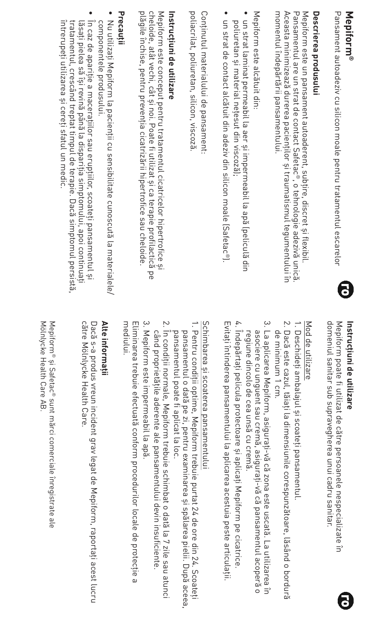Pansament autoadeziv cu silicon moale pentru tratamentul escarelor Pansament autoadeziv cu silicon moale pentru tratamentul escarelor

## Descrierea produsului **Descrierea produsului**

momentul indepartarii pansamentului. Aceasta minimizează durerea pacienților și traumatismul tegumentului în Pansamentul are un strat de contact Safetac®, o tehnologie adezivă unică. Mepitorm este un pansament autoaderent, subțire, discret și flexibil momentul îndepărtării pansamentului. Aceasta minimizează durerea pacienţilor şi traumatismul tegumentului în Pansamentul are un strat de contact Safetac Mepiform este un pansament autoaderent, subţire, discret şi flexibil. ®, o tehnologie adezivă unică.

Mepiform este alcătuit din Mepiform este alcătuit din:

- un strat laminat permeabil la aer și impermeabil la apă lpeliculă din poliuretan și material nețesut din viscoză); poliuretan şi material neţesut din viscoză); un strat laminat permeabil la aer şi impermeabil la apă (peliculă din
- un strat de contact alcătuit din adeziv din silicon moale [Safetac®] un strat de contact alcătuit din adeziv din silicon moale (Safetac®).

poliacrilat, poliuretan, silicon, viscoza Conținutul materialului de pansament poliacrilat, poliuretan, silicon, viscoză. Conţinutul materialului de pansament:

## Instrucțiuni de utilizare **Instrucţiuni de utilizare**

Mepiform este conceput pentru tratamentul cicatricelor hipertrofice și<br>cheloide, atât vechi, cât și noi. Poate fi utilizat și ca terapie profilactică pe plăgile închise, pentru prevenția cicatrizării hipertrofice sau cheloide. plăgile închise, pentru prevenţia cicatrizării hipertrofice sau cheloide. cheloide, atât vechi, cât şi noi. Poate fi utilizat şi ca terapie profilactică pe Mepiform este conceput pentru tratamentul cicatricelor hipertrofice şi

### **Precauţii**

- componentele produsulu Nu utilizați Mepiform la pacienții cu sensibilitate cunoscută la materialele/ componentele produsului. Nu utilizaţi Mepiform la pacienţii cu sensibilitate cunoscută la materialele/
- In caz de apariție a macerațiilor sau erupțiilor, scoateți pansamentul și întrerupeți utilizarea și cereți sfatul un medic întrerupeţi utilizarea şi cereţi sfatul un medic. tratamentul, crescand treptat timpul de terapie. Dacă simptomul persistă tratamentul, crescând treptat timpul de terapie. Dacă simptomul persistă, lăsați pielea să își revină până la dispariția simptomului, apoi continuați lăsaţi pielea să îşi revină până la dispariţia simptomului, apoi continuaţi În caz de apariţie a maceraţiilor sau erupţiilor, scoateţi pansamentul şi

## **Instrucţiuni de utilizare**  Instrucțiuni de utilizare

€)

domeniul sanitar sup supravegnerea unui caoru sanitar. Mepiform poate fi utilizat de către persoanele nespecializate în domeniul sanitar sub supravegherea unui cadru sanitar. Mepiform poate fi utilizat de către persoanele nespecializate în

### Mod de utilizare Mod de utilizare

- 1. Deschideți ambalajul și scoateți pansamentul Deschideţi ambalajul şi scoateţi pansamentul.
- 2. Dacă este cazul, tăiați la dimensiunile corespunzătoare, lăsând o bordură de minimum 1 cm. de minimum 1 cm. Dacă este cazul, tăiaţi la dimensiunile corespunzătoare, lăsând o bordură
- 3. regiune dincolo de cea unsã cu cremã asociere cu unguent sau cremă, asigurați-vă că pansamentul acoperă o regiune dincolo de cea unsă cu cremă. asociere cu unguent sau cremă, asiguraţi-vă că pansamentul acoperă o La aplicarea Mepiform, asiguraţi-vă că zona este uscată. La utilizarea în
- 4. Indepărtați pelicula protectoare și aplicați Mepiform pe cicatrice Îndepărtaţi pelicula protectoare şi aplicaţi Mepiform pe cicatrice.

Evitați intinderea pansamentului la aplicarea acestuia peste articulații. Evitaţi întinderea pansamentului la aplicarea acestuia peste articulaţii.

# Schimbarea și scoaterea pansamentulu Schimbarea şi scoaterea pansamentului

- 1. Pentru condiții optime, Mepiform trebuie purtat 24 de ore din 24. Scoateți pansamentul poate fi aplicat la loc. pansamentul o dată pe zi, pentru examinarea și spălarea pielii. După aceea pansamentul poate fi aplicat la loc. pansamentul o dată pe zi, pentru examinarea şi spălarea pielii. După aceea, Pentru condiţii optime, Mepiform trebuie purtat 24 de ore din 24. Scoateţi
- 2. In condiții normale, Mepiform trebuie schimbat o dată la 7 zile sau atunci cănd proprietățile aderente ale pansamentului devin insuficiente când proprietăţile aderente ale pansamentului devin insuficiente. În condiţii normale, Mepiform trebuie schimbat o dată la 7 zile sau atunci
- 3. Mepiform este impermeabil la apă Mepiform este impermeabil la apă.

Eliminarea trebuie efectuată conform procedurilor locale de protecție a<br>mediului. Eliminarea trebuie efectuată conform procedurilor locale de protecţie a

### Alte informații **Alte informaţii**

către Mölnlycke Health Care. către Mölnlycke Health Care. Dacă s-a produs vreun incident grav legat de Mepiform, raportați acest lucru Dacă s-a produs vreun incident grav legat de Mepiform, raportaţi acest lucru

Mepitorm® și Satetac® sunt mărci comerciale înregistrate ale Molnlycke Health Care AB Mölnlycke Health Care AB. ® şi Safetac® sunt mărci comerciale înregistrate ale

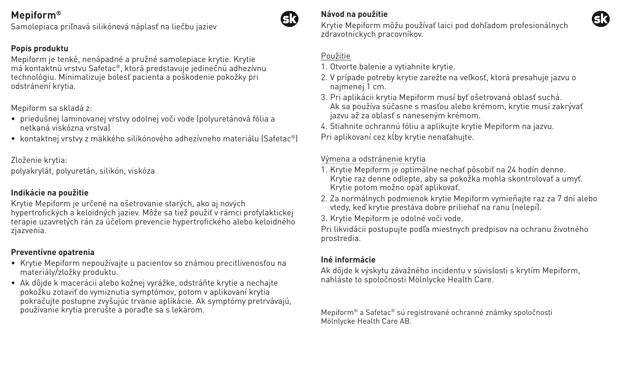Samolepiaca priľnavá silikónová náplasť na liečbu jaziev

#### **Popis produktu**

Mepiform je tenké, nenápadné a pružné samolepiace krytie. Krytie má kontaktnú vrstvu Safetac®, ktorá predstavuje jedinečnú adhezívnu technológiu. Minimalizuje bolesť pacienta a poškodenie pokožky pri odstránení krytia.

#### Mepiform sa skladá z:

- priedušnej laminovanej vrstvy odolnej voči vode (polyuretánová fólia a netkaná viskózna vrstva)
- kontaktnej vrstvy z mäkkého silikónového adhezívneho materiálu (Safetac®)

Zloženie krytia:

polyakrylát, polyuretán, silikón, viskóza

#### **Indikácie na použitie**

Krytie Mepiform je určené na ošetrovanie starých, ako aj nových hypertrofických a keloidných jaziev. Môže sa tiež použiť v rámci profylaktickej terapie uzavretých rán za účelom prevencie hypertrofického alebo keloidného ziazvenia.

#### **Preventívne opatrenia**

- Krytie Mepiform nepoužívajte u pacientov so známou precitlivenosťou na materiály/zložky produktu.
- Ak dôjde k macerácii alebo kožnej vyrážke, odstráňte krytie a nechajte pokožku zotaviť do vymiznutia symptómov, potom v aplikovaní krytia pokračujte postupne zvyšujúc trvanie aplikácie. Ak symptómy pretrvávajú, používanie krytia prerušte a poraďte sa s lekárom.

#### **Návod na použitie**

Krytie Mepiform môžu používať laici pod dohľadom profesionálnych zdravotníckych pracovníkov.

#### Použitie

- 1. Otvorte balenie a vytiahnite krytie.
- 2. V prípade potreby krytie zarežte na veľkosť, ktorá presahuje jazvu o najmenej 1 cm.
- 3. Pri aplikácii krytia Mepiform musí byť ošetrovaná oblasť suchá. Ak sa používa súčasne s masťou alebo krémom, krytie musí zakrývať jazvu až za oblasť s naneseným krémom.
- 4. Stiahnite ochrannú fóliu a aplikujte krytie Mepiform na jazvu.

Pri aplikovaní cez kĺby krytie nenaťahujte.

#### Výmena a odstránenie krytia

- 1. Krytie Mepiform je optimálne nechať pôsobiť na 24 hodín denne. Krytie raz denne odlepte, aby sa pokožka mohla skontrolovať a umyť. Krytie potom možno opäť aplikovať.
- 2. Za normálnych podmienok krytie Mepiform vymieňajte raz za 7 dní alebo vtedy, keď krytie prestáva dobre priliehať na ranu (nelepí).
- 3. Krytie Mepiform je odolné voči vode.

Pri likvidácii postupujte podľa miestnych predpisov na ochranu životného prostredia.

#### **Iné informácie**

Ak dôjde k výskytu závažného incidentu v súvislosti s krytím Mepiform, nahláste to spoločnosti Mölnlycke Health Care.

Mepiform® a Safetac® sú registrované ochranné známky spoločnosti Mölnlycke Health Care AB.



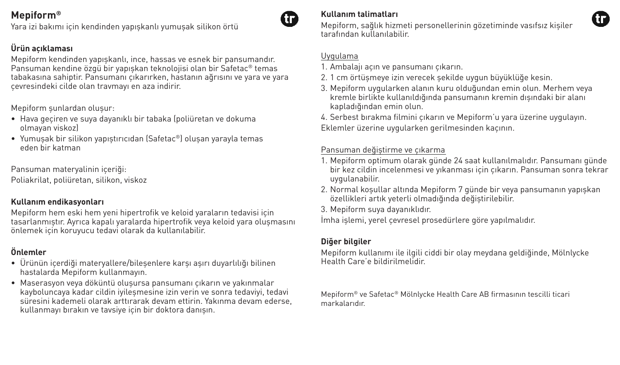Yara izi bakımı için kendinden yapışkanlı yumuşak silikon örtü

#### **Ürün açıklaması**

Mepiform kendinden yapışkanlı, ince, hassas ve esnek bir pansumandır. Pansuman kendine özgü bir yapışkan teknolojisi olan bir Safetac® temas tabakasına sahiptir. Pansumanı çıkarırken, hastanın ağrısını ve yara ve yara çevresindeki cilde olan travmayı en aza indirir.

#### Mepiform şunlardan oluşur:

- Hava geçiren ve suya dayanıklı bir tabaka (poliüretan ve dokuma olmayan viskoz)
- Yumuşak bir silikon yapıştırıcıdan (Safetac®) oluşan yarayla temas eden bir katman

Pansuman materyalinin içeriği:

Poliakrilat, poliüretan, silikon, viskoz

#### **Kullanım endikasyonları**

Mepiform hem eski hem yeni hipertrofik ve keloid yaraların tedavisi için tasarlanmıştır. Ayrıca kapalı yaralarda hipertrofik veya keloid yara oluşmasını önlemek için koruyucu tedavi olarak da kullanılabilir.

#### **Önlemler**

- Ürünün içerdiği materyallere/bileşenlere karşı aşırı duyarlılığı bilinen hastalarda Mepiform kullanmayın.
- Maserasyon veya döküntü oluşursa pansumanı çıkarın ve yakınmalar kayboluncaya kadar cildin iyileşmesine izin verin ve sonra tedaviyi, tedavi süresini kademeli olarak arttırarak devam ettirin. Yakınma devam ederse, kullanmayı bırakın ve tavsiye için bir doktora danışın.



Mepiform, sağlık hizmeti personellerinin gözetiminde vasıfsız kişiler tarafından kullanılabilir.

#### Uygulama

Œ

- 1. Ambalajı açın ve pansumanı çıkarın.
- 2. 1 cm örtüşmeye izin verecek şekilde uygun büyüklüğe kesin.
- 3. Mepiform uygularken alanın kuru olduğundan emin olun. Merhem veya kremle birlikte kullanıldığında pansumanın kremin dışındaki bir alanı kapladığından emin olun.
- 4. Serbest bırakma filmini çıkarın ve Mepiform'u yara üzerine uygulayın. Eklemler üzerine uygularken gerilmesinden kaçının.

#### Pansuman değiştirme ve çıkarma

- 1. Mepiform optimum olarak günde 24 saat kullanılmalıdır. Pansumanı günde bir kez cildin incelenmesi ve yıkanması için çıkarın. Pansuman sonra tekrar uygulanabilir.
- 2. Normal koşullar altında Mepiform 7 günde bir veya pansumanın yapışkan özellikleri artık yeterli olmadığında değiştirilebilir.
- 3. Mepiform suya dayanıklıdır.

İmha işlemi, yerel çevresel prosedürlere göre yapılmalıdır.

#### **Diğer bilgiler**

Mepiform kullanımı ile ilgili ciddi bir olay meydana geldiğinde, Mölnlycke Health Care'e bildirilmelidir.

Mepiform® ve Safetac® Mölnlycke Health Care AB firmasının tescilli ticari markalarıdır.

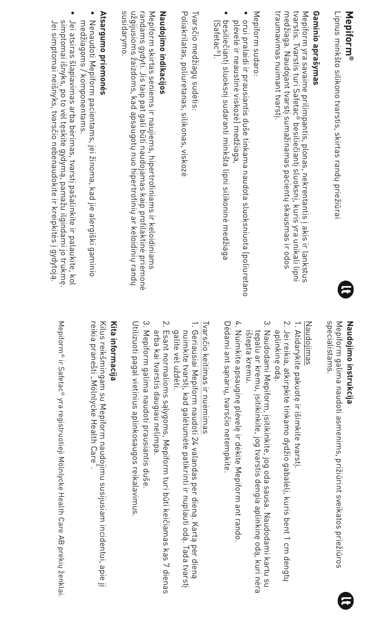Lipnus minksto slilkono tvarstis, skirtas randų priežiūrai Lipnus minkšto silikono tvarstis, skirtas randų priežiūrai

## Gaminio aprašyma: **Gaminio aprašymas**

traumavimas nuimant tvarsti medziaga. Naudojant tvarstį sumazinamas pacientų skausmas ir odos Mepiform yra savaime prilimpantis, plonas, nekrentantis į akis ir lankstus<br>tvarstis. Tvarstis turi Safetac® besiliečiantį sluoksnį, kuris yra unikali lipni traumavimas nuimant tvarstį. medžiaga. Naudojant tvarstį sumažinamas pacientų skausmas ir odos tvarstis. Tvarstis turi Safetac Mepiform yra savaime prilimpantis, plonas, nekrentantis į akis ir lankstus ® besiliečiantį sluoksnį, kuris yra unikali lipni

### Mepiform sudaro Mepiform sudaro:

- orui pralaidi ir prausiantis duše tinkama naudota sluoksniuota (poliuretano plevele ir neaustine viskozej medžiaga plėvelė ir neaustinė viskozė) medžiaga, orui pralaidi ir prausiantis duše tinkama naudota sluoksniuota (poliuretano
- besiliečiantį sluoksnį sudaranti minkšta lipni silikoninė medžiaga besiliečiantį sluoksnį sudaranti minkšta lipni silikoninė medžiaga<br>(Safetac®).

Tvarsčio medžiagų sudėtis Poliakrilatas, poliuretanas, silikonas, viskoze Poliakrilatas, poliuretanas, silikonas, viskozė Tvarsčio medžiagų sudėtis:

## Naudojimo indikacijos **Naudojimo indikacijos**

owAreprsns užgijusioms žaizdoms, kad apsaugotų nuo hipertrofinių ar keloidinių randų randams gydyti. Jis taip pat gali būti naudojamas kaip profilaktinė priemonė susidarymo. užgijusioms žaizdoms, kad apsaugotų nuo hipertrofinių ar keloidinių randų randams gydyti. Jis taip pat gali būti naudojamas kaip profilaktinė priemonė Mepiform skirtas seniems ir naujiems, hipertrofiniams ir keloidiniams Mepiform skirtas seniems ir naujiems, hipertrofiniams ir keloidiniams

## Atsargumo priemonės **Atsargumo priemonės**

- Nenaudoti Mepiform pacientams, jei žinoma, kad jie alergiški gaminio medziagoms / komponentams medžiagoms / komponentams. Nenaudoti Mepiform pacientams, jei žinoma, kad jie alergiški gaminio
- Jei atsiras šlapiavimas arba bėrimas, tvarstį pašalinkite ir palaukite, kol Jei simptomai neišnyks, tvarsčio nebenaudokite ir kreipkitės į gydytoją. simptomai išnyks, po to vel teskite gydymą, pamažu ilgindami jo trukmę simptomai išnyks, po to vėl tęskite gydymą, pamažu ilgindami jo trukmę. Jei atsiras šlapiavimas arba bėrimas, tvarstį pašalinkite ir palaukite, kol Jei simptomai neišnyks, tvarsčio nebenaudokite ir kreipkitės į gydytoją.

## **Naudojimo instrukcija**  Naudojimo instrukcija

e

sweciatistams Mepiform galima naudoti asmenims, prižiūrint sveikatos priežiūros specialistams. Mepiform galima naudoti asmenims, prižiūrint sveikatos priežiūros

### Naudojimas Naudojimas

- 1. Atidarykite pakuotę ir išimkite tvarstj. Atidarykite pakuotę ir išimkite tvarstį.
- 2. Jei reikia, atkirpkite tinkamo dydžio gabalėli, kuris bent 1 cm dengtų aplinkine oda. aplinkinę odą. Jei reikia, atkirpkite tinkamo dydžio gabalėlį, kuris bent 1 cm dengtų
- 3. Naudodami Mepiform, jsitikinkite, jog oda sausa. Naudodami kartu su ištepta kremu tepalu ar kremu, įsitikinkite, jog tvarstis dengia aplinkinę odą, kuri nera ištepta kremu. tepalu ar kremu, įsitikinkite, jog tvarstis dengia aplinkinę odą, kuri nėra Naudodami Mepiform, įsitikinkite, jog oda sausa. Naudodami kartu su
- 4. Nuimkite apsaugine plevele ir dekite Mepiform ant rando Dedamı ant sanarıy, tvarscıo netempkite Dėdami ant sąnarių, tvarsčio netempkite. Nuimkite apsauginę plėvelę ir dėkite Mepiform ant rando.

## Ivarscio keitimas ir nuemimas Tvarsčio keitimas ir nuėmimas

- 1. Geriausiai Mepiform naudoti 24 valandas per diena. Karta per diena galite vel uždeti nuimkite tvarsti, kad galetumete patikrinti ir nuplauti odą. Tada tvarsti galite vėl uždėti. nuimkite tvarstį, kad galėtumėte patikrinti ir nuplauti odą. Tada tvarstį Geriausiai Mepiform naudoti 24 valandas per dieną. Kartą per dieną
- 2. Esant normalioms salygoms, Mepiform turi būti keičiamas kas 7 dienas arba kai tvarstis daugiau nelimpa arba kai tvarstis daugiau nelimpa. Esant normalioms sąlygoms, Mepiform turi būti keičiamas kas 7 dienas
- 3. Mepiform galima naudoti prausiantis duše Mepiform galima naudoti prausiantis duše.

Utilizuoti pagal vietinius aplinkosaugos reikalavimus. Utilizuoti pagal vietinius aplinkosaugos reikalavimus.

### Kita informacija **Kita informacija**

reikia pranešti "Mölnlycke Health Care reikia pranešti "Mölnlycke Health Care". Kilus reikšmingam su Mepiform naudojimu susijusiam incidentui, apie Kilus reikšmingam su Mepiform naudojimu susijusiam incidentui, apie jį Ξ.

Mepiform® ir Safetac® yra registruotieji Molnlycke Health Care AB prekių zenklai ® ir Safetac® yra registruotieji Mölnlycke Health Care AB prekių ženklai.

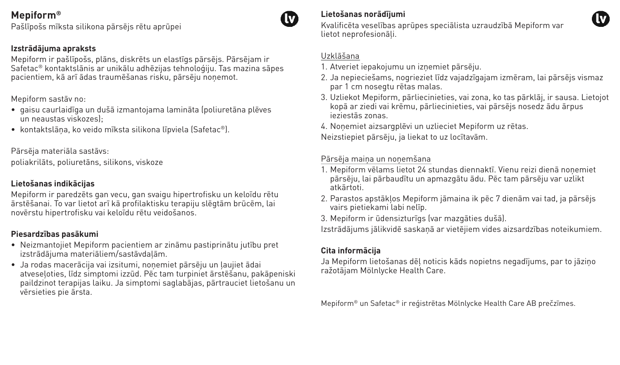Pašlīpošs mīksta silikona pārsējs rētu aprūpei

#### **Izstrādājuma apraksts**

Mepiform ir pašlīpošs, plāns, diskrēts un elastīgs pārsējs. Pārsējam ir Safetac® kontaktslānis ar unikālu adhēzijas tehnoloģiju. Tas mazina sāpes pacientiem, kā arī ādas traumēšanas risku, pārsēju noņemot.

Mepiform sastāv no:

- gaisu caurlaidīga un dušā izmantojama lamināta (poliuretāna plēves un neaustas viskozes);
- kontaktslāņa, ko veido mīksta silikona līpviela (Safetac®).

Pārsēja materiāla sastāvs:

poliakrilāts, poliuretāns, silikons, viskoze

#### **Lietošanas indikācijas**

Mepiform ir paredzēts gan vecu, gan svaigu hipertrofisku un keloīdu rētu ārstēšanai. To var lietot arī kā profilaktisku terapiju slēgtām brūcēm, lai novērstu hipertrofisku vai keloīdu rētu veidošanos.

#### **Piesardzības pasākumi**

- Neizmantojiet Mepiform pacientiem ar zināmu pastiprinātu jutību pret izstrādājuma materiāliem/sastāvdaļām.
- Ja rodas macerācija vai izsitumi, noņemiet pārsēju un ļaujiet ādai atveseļoties, līdz simptomi izzūd. Pēc tam turpiniet ārstēšanu, pakāpeniski paildzinot terapijas laiku. Ja simptomi saglabājas, pārtrauciet lietošanu un vērsieties pie ārsta.



Kvalificēta veselības aprūpes speciālista uzraudzībā Mepiform var lietot neprofesionāli.

#### Uzklāšana

**M** 

- 1. Atveriet iepakojumu un izņemiet pārsēju.
- 2. Ja nepieciešams, nogrieziet līdz vajadzīgajam izmēram, lai pārsējs vismaz par 1 cm nosegtu rētas malas.
- 3. Uzliekot Mepiform, pārliecinieties, vai zona, ko tas pārklāj, ir sausa. Lietojot kopā ar ziedi vai krēmu, pārliecinieties, vai pārsējs nosedz ādu ārpus ieziestās zonas.
- 4. Nonemiet aizsargplēvi un uzlieciet Mepiform uz rētas.

Neizstiepiet pārsēju, ja liekat to uz locītavām.

#### Pārsēja maina un nonemšana

- 1. Mepiform vēlams lietot 24 stundas diennaktī. Vienu reizi dienā noņemiet pārsēju, lai pārbaudītu un apmazgātu ādu. Pēc tam pārsēju var uzlikt atkārtoti.
- 2. Parastos apstākļos Mepiform jāmaina ik pēc 7 dienām vai tad, ja pārsējs vairs pietiekami labi nelīp.
- 3. Mepiform ir ūdensizturīgs (var mazgāties dušā).

Izstrādājums jālikvidē saskaņā ar vietējiem vides aizsardzības noteikumiem.

#### **Cita informācija**

Ja Mepiform lietošanas dēļ noticis kāds nopietns negadījums, par to jāziņo ražotājam Mölnlycke Health Care.

Mepiform® un Safetac® ir reģistrētas Mölnlycke Health Care AB prečzīmes.

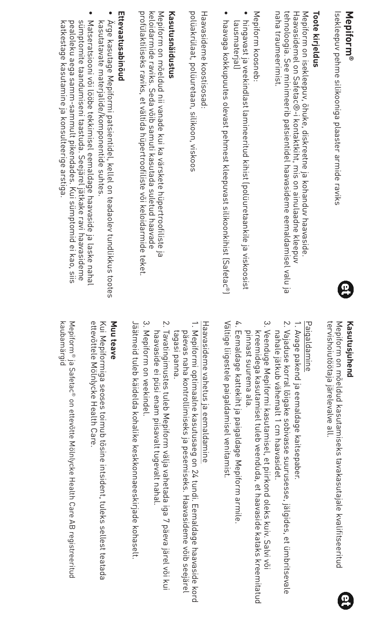Isekleepuv pehme silikooniga plaaster armide raviks Isekleepuv pehme silikooniga plaaster armide raviks

### Toote kirjeldu: **Toote kirjeldus**

naha traumeerimist. Mepiform on isekleepuv, õhuke, diskreetne ja kohanduv haavaside.<br>Haavasidemel on Safetac®-i kontaktkiht, mis on ainulaadne kleepuv naha traumeerimist. tehnoloogia. See minimeerib patsientidel haavasideme eemaldamisel valu ja tehnoloogia. See minimeerib patsientidel haavasideme eemaldamisel valu ja Haavasidemel on Safetac®-i kontaktkiht, mis on ainulaadne kleepuv Mepiform on isekleepuv, õhuke, diskreetne ja kohanduv haavaside.

Mepiform koosneb Mepiform koosneb:

- hingavast ja veekindlast lamineeritud kihist (polüuretaankile ja viskoosist lausmaterjal) lausmaterjal hingavast ja veekindlast lamineeritud kihist (polüuretaankile ja viskoosist
- haavaga kokkupuutes olevast pehmest kleepuvast silikoonkihist (Safetac®) haavaga kokkupuutes olevast pehmest kleepuvast silikoonkihist (Safetac®)

potuakrutaat, potuuretaan, sitikoon, viskoos Haavasideme koostisosad polüakrülaat, polüuretaan, silikoon, viskoos Haavasideme koostisosad:

## Kasutusnaidustus **Kasutusnäidustus**

profülaktiliseks raviks, et vältida hüpertroofiliste või keloidarmide teket keloidarmide raviks. Seda võib samuti kasutada suletud haavade profülaktiliseks raviks, et vältida hüpertroofiliste või keloidarmide teket. keloidarmide raviks. Seda võib samuti kasutada suletud haavade Mepiform on mõeldud nii vanade kui ka värskete hüpertroofiliste ja Mepiform on mõeldud nii vanade kui ka värskete hüpertroofiliste ja

## Ettevaatusabinõud **Ettevaatusabinõud**

- Ärge kasutage Mepiformi patsientidel, kellel on teadaolev tundlikkus tootes kasutatavate materjalide/komponentide suhtes kasutatavate materjalide/komponentide suhtes. Ärge kasutage Mepiformi patsientidel, kellel on teadaolev tundlikkus tootes
- Matseratsiooni või lööbe tekkimisel eemaldage haavaside ja laske naha katkestage kasutamine ja konsulteerige arstiga katkestage kasutamine ja konsulteerige arstiga. pealoleku aega samm-sammult pikendades. Kui sümptomid ei kao, siis pealoleku aega samm-sammult pikendades. Kui sümptomid ei kao, siis sümptomite taandumiseni taastuda. Seejärel jätkake ravi haavasideme sümptomite taandumiseni taastuda. Seejärel jätkake ravi haavasideme Matseratsiooni või lööbe tekkimisel eemaldage haavaside ja laske nahal

### **Kasutusjuhend**  Kasutusjuhenc

e

Mepiform on mõeldud kasutamiseks tavakasutajale kvalifitseeritud tervishoiutöötaja järelevalve all tervishoiutöötaja järelevalve all. Mepiform on mõeldud kasutamiseks tavakasutajale kvalifitseeritud

### Paigaldamine Paigaldamine

- 1. Avage pakend ja eemaldage kaitsepaber Avage pakend ja eemaldage kaitsepaber.
- 2. Vajaduse korral lõigake sobivasse suurusesse, jälgides, et ümbritsevale nahale jätkub vähemalt 1 cm haavasidet. nahale jätkub vähemalt 1 cm haavasidet. Vajaduse korral lõigake sobivasse suurusesse, jälgides, et ümbritsevale
- 3. Veenduge Mepiformi kasutamisel, et piirkond oleks kuiv. Salvi võ pinnast suurema ala kreemidega kasutamisel tuleb veenduda, et haavaside kataks kreemitatuc pinnast suurema ala. kreemidega kasutamisel tuleb veenduda, et haavaside kataks kreemitatud Veenduge Mepiformi kasutamisel, et piirkond oleks kuiv. Salvi või
- 4. Eemaldage kattekiht ja paigaldage Mepiform armile.

Vältige liigestele paigaldamisel venitamist Vältige liigestele paigaldamisel venitamist.

# Haavasideme vahetus ja eemaldamine Haavasideme vahetus ja eemaldamine

- 1. Mepiformi optimaalne kasutusaeg on 24 tundi. Eemaldage haavaside korc ragasi panna. päevas naha kontrollimiseks ja pesemiseks. Haavasideme võib seejärel tagasi panna. päevas naha kontrollimiseks ja pesemiseks. Haavasideme võib seejärel Mepiformi optimaalne kasutusaeg on 24 tundi. Eemaldage haavaside kord
- 2. Tavatingimustes tuleb Mepiform välja vahetada iga 7 päeva järel või ku haavaside ei püsi enam piisavalt tugevalt nahal haavaside ei püsi enam piisavalt tugevalt nahal. Tavatingimustes tuleb Mepiform välja vahetada iga 7 päeva järel või kui
- 3. Mepiform on veekindel. Mepiform on veekindel.

Jäätmeid tuleb käidelda kohalike keskkonnaeeskirjade kohaselt Jäätmeid tuleb käidelda kohalike keskkonnaeeskirjade kohaselt.

## **Muu teav**

ettevõttele Mölnlycke Health Care ettevõttele Mölnlycke Health Care. Kui Mepiformiga seoses toimub tõsine intsident, tuleks sellest teatada Kui Mepiformiga seoses toimub tõsine intsident, tuleks sellest teatada

Mepiform® ja Safetac® on ettevõtte Mölnlycke Health Care AB registreeritud kaubamargid kaubamärgid ® ja Safetac® on ettevõtte Mölnlycke Health Care AB registreeritud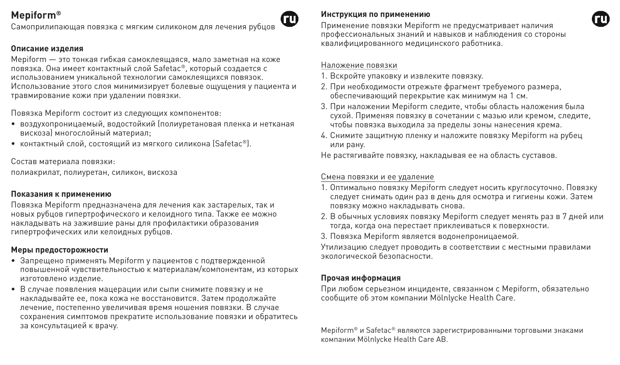Самоприлипающая повязка с мягким силиконом для лечения рубцов

#### **Описание изделия**

Mepiform — это тонкая гибкая самоклеящаяся, мало заметная на коже повязка. Она имеет контактный слой Safetac®, который создается с использованием уникальной технологии самоклеящихся повязок. Использование этого слоя минимизирует болевые ощущения у пациента и травмирование кожи при удалении повязки.

Повязка Mepiform состоит из следующих компонентов:

- воздухопроницаемый, водостойкий (полиуретановая пленка и нетканая вискоза) многослойный материал;
- контактный слой, состоящий из мягкого силикона (Safetac®).

Состав материала повязки:

полиакрилат, полиуретан, силикон, вискоза

#### **Показания к применению**

Повязка Mepiform предназначена для лечения как застарелых, так и новых рубцов гипертрофического и келоидного типа. Также ее можно накладывать на зажившие раны для профилактики образования гипертрофических или келоидных рубцов.

#### **Меры предосторожности**

- Запрещено применять Mepiform у пациентов с подтвержденной повышенной чувствительностью к материалам/компонентам, из которых изготовлено изделие.
- В случае появления мацерации или сыпи снимите повязку и не накладывайте ее, пока кожа не восстановится. Затем продолжайте лечение, постепенно увеличивая время ношения повязки. В случае сохранения симптомов прекратите использование повязки и обратитесь за консультацией к врачу.

#### **Инструкция по применению**

Применение повязки Mepiform не предусматривает наличия профессиональных знаний и навыков и наблюдения со стороны квалифицированного медицинского работника.

#### Наложение повязки

- 1. Вскройте упаковку и извлеките повязку.
- 2. При необходимости отрежьте фрагмент требуемого размера, обеспечивающий перекрытие как минимум на 1 см.
- 3. При наложении Mepiform следите, чтобы область наложения была сухой. Применяя повязку в сочетании с мазью или кремом, следите, чтобы повязка выходила за пределы зоны нанесения крема.
- 4. Снимите защитную пленку и наложите повязку Mepiform на рубец или рану.

Не растягивайте повязку, накладывая ее на область суставов.

#### Смена повязки и ее удаление

- 1. Оптимально повязку Mepiform следует носить круглосуточно. Повязку следует снимать один раз в день для осмотра и гигиены кожи. Затем повязку можно накладывать снова.
- 2. В обычных условиях повязку Mepiform следует менять раз в 7 дней или тогда, когда она перестает приклеиваться к поверхности.
- 3. Повязка Mepiform является водонепроницаемой.

Утилизацию следует проводить в соответствии с местными правилами экологической безопасности.

#### **Прочая информация**

При любом серьезном инциденте, связанном с Mepiform, обязательно сообщите об этом компании Mölnlycke Health Care.

Mepiform® и Safetac® являются зарегистрированными торговыми знаками компании Mölnlycke Health Care AB.

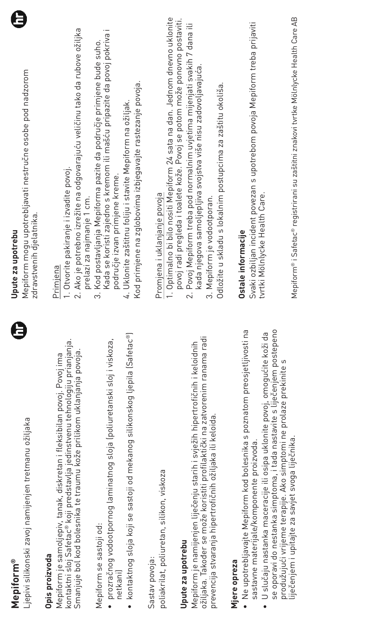| Ê<br><b>Mepiform®</b>                                                                                                                                                                                                                                                                            | Upute za upotrebu                                                                                                                                                                                                                                                                                                       |
|--------------------------------------------------------------------------------------------------------------------------------------------------------------------------------------------------------------------------------------------------------------------------------------------------|-------------------------------------------------------------------------------------------------------------------------------------------------------------------------------------------------------------------------------------------------------------------------------------------------------------------------|
| Ljepivi silikonski zavoj namijenjen tretmanu ožiljaka                                                                                                                                                                                                                                            | Mepiform mogu upotrebljavati nestručne osobe pod nadzorom<br>zdravstvenih djelatnika.                                                                                                                                                                                                                                   |
| kontaktni sloj Safetac® koji predstavlja jedinstvenu tehnologiju prianjanja.<br>Smanjuje bol kod bolesnika te traumu kože prilikom uklanjanja povoja.<br>Mepiform je samoljepiv, tanak, diskretan i fleksibilan povoj. Povoj ima<br>Opis proizvoda                                               | 2. Ako je potrebno izrežite na odgovarajuću veličinu tako da rubove ožiljka<br>1. Otvorite pakiranje i izvadite povoj.<br>prelazi za najmanje 1 cm.<br>Primjena                                                                                                                                                         |
| kontaktnog sloja koji se sastoji od mekanog silikonskog ljepila (Safetac®)<br>• prozračnog vodootpornog laminatnog sloja (poliuretanski sloj i viskoza,<br>Mepiform se sastoji od:<br>netkani                                                                                                    | Kada se koristi zajedno s kremom ili mašću pripazite da povoj pokriva i<br>3. Kod postavljanja Mepiforma pazite da područje primjene bude suho.<br>Kod primjene na zglobovima izbjegavajte rastezanje povoja.<br>4. Uklonite zaštitnu foliju i stavite Mepiform na ožiljak<br>područje izvan primjene kreme.            |
| poliakrilat, poliuretan, silikon, viskoza<br>Sastav povoja:                                                                                                                                                                                                                                      | 1. Optimalno bi bilo nositi Mepiform 24 sata na dan. Jednom dnevno uklonite<br>Promjena i uklanjanje povoja                                                                                                                                                                                                             |
| ožiljaka. Također se može koristiti profilaktički na zatvorenim ranama radi<br>Mepiform je namijenjen liječenju starih i svježih hipertrofičnih i keloidnih<br>prevencija stvaranja hipertrofičnih ožiljaka ili keloida.<br>Upute za upotrebu                                                    | povoj radi pregleda i toalete kože. Povoj se potom može ponovno postaviti.<br>2. Povoj Mepiform treba pod normalnim uvjetima mijenjati svakih 7 dana ili<br>kada njegova samoljepljiva svojstva više nisu zadovoljavajuća.<br>Odložite u skladu s lokalnim postupcima za zaštitu okoliša.<br>3. Mepiform je vodootporan |
| · Ne upotrebljavajte Mepiform kod bolesnika s poznatom preosjetljivosti na<br>se oporavi do nestanka simptoma, i tada nastavite s liječenjem postepeno<br>U slučaju nastanka maceracije ili osipa uklonite povoj, omogućite koži da<br>sastavne materijale/komponente proizvoda.<br>Mjere opreza | Svaki ozbiljan incident povezan s upotrebom povoja Mepiform treba prijaviti<br>tvrtki Mölnlycke Health Care.<br>Ostale informacije                                                                                                                                                                                      |
| produžujući vrijeme terapije. Ako simptomi ne prolaze prekinite s<br>liječenjem i upitajte za savjet svoga lijećnika                                                                                                                                                                             | Mepiform® i Safetac® registrirani su zaštitni znakovi tvrtke Mölnlycke Health Care AB                                                                                                                                                                                                                                   |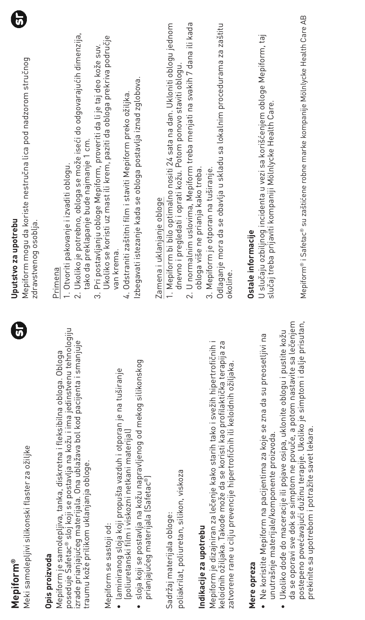| 6<br>Meki samolepljivi silikonski flaster za ožiljke<br><b>Mepiform®</b>                                                                                                                                                                                                                            | ្ហ<br>Mepiform mogu da koriste nestručna lica pod nadzorom stručnog<br>Uputstvo za upotrebu<br>zdravstvenog osoblja.                                                                                                                                      |
|-----------------------------------------------------------------------------------------------------------------------------------------------------------------------------------------------------------------------------------------------------------------------------------------------------|-----------------------------------------------------------------------------------------------------------------------------------------------------------------------------------------------------------------------------------------------------------|
| poseduje Safetac® sloj koji se postavlja na kožu i ima jedinstvenu tehnologiju<br>izrade prianjajućeg materijala. Ona ublažava bol kod pacijenta i smanjuje<br>Mepiform je samolepljiva, tanka, diskretna i fleksibilna obloga. Obloga<br>traumu kože prilikom uklanjanja obloge.<br>Opis proizvoda | Ukoliko je potrebno, obloga se može iseći do odgovarajućih dimenzija,<br>tako da preklapanje bude najmanje 1 cm<br>1. Otvoriti pakovanje i izvaditi oblogu.<br>Primena                                                                                    |
| · laminiranog sloja koji propušta vazduh i otporan je na tuširanje<br>lpoliuretanski film i viskozni netkani materijal<br>Mepiform se sastoji od:                                                                                                                                                   | Ukoliko se koristi uz mast ili krem, paziti da obloga prekriva područje<br>3. Pri postavljanju obloge Mepiform, proveriti da li je taj deo kože suv.<br>4. Odstraniti zaštitni film i staviti Mepiform preko ožiljka.<br>van krema                        |
| sloja koji se postavlja na kožu napravljenog od mekog silikonskog<br>prianjajućeg materijala ISafetac®                                                                                                                                                                                              | Izbegavati istezanje kada se obloga postavlja iznad zglobova.                                                                                                                                                                                             |
| poliakrilat, poliuretan, silikon, viskoza<br>Sadržaj materijala obloge:                                                                                                                                                                                                                             | 2. U normalnim uslovima, Mepiform treba menjati na svakih 7 dana ili kada<br>1. Mepiform bi bilo optimalno nositi 24 sata na dan. Ukloniti obloqu jednom<br>dnevno i pregledati i oprati kožu. Potom ponovo staviti oblogu.<br>Zamena i uklanjanje obloge |
| keloidnih ožiljaka. Takođe može da se koristi kao profilaktička terapija za<br>Mepiform je dizajniran za lečenje kako starih tako i svežih hipertrofičnih<br>zatvorene rane u cilju prevencije hipertrofičnih ili keloidnih ožiljaka.<br>Indikacije za upotrebu                                     | Odlaganje mora da se obavlja u skladu sa lokalnim procedurama za zaštitu<br>3. Mepiform je otporan na tuširanje.<br>obloga više ne prianja kako treba.                                                                                                    |
| Ne koristite Mepiform na pacijentima za koje se zna da su preosetljivi na<br>unutrašnje materijale/komponente proizvoda.<br>Mere opreza<br>$\bullet$                                                                                                                                                | U slučaju ozbiljnog incidenta u vezi sa korišćenjem obloge Mepiform, taj<br>slučaj treba prijaviti kompaniji Mölnlycke Health Care.<br>Ostale informacije                                                                                                 |
| postepeno povećavajući dužinu terapije. Ukoliko je simptom i dalje prisutan,<br>da se oporavi sve dok se simptom ne povuće, a potom nastavite sa lećenjem<br>Ukoliko dođe do maceracije ili pojave osipa, uklonite oblogu i pustite kožu<br>prekinite sa upotrebom i potražite savet lekara.        | Mepiform® i Safetac® su zaštićene robne marke kompanije Mölnlycke Health Care AB                                                                                                                                                                          |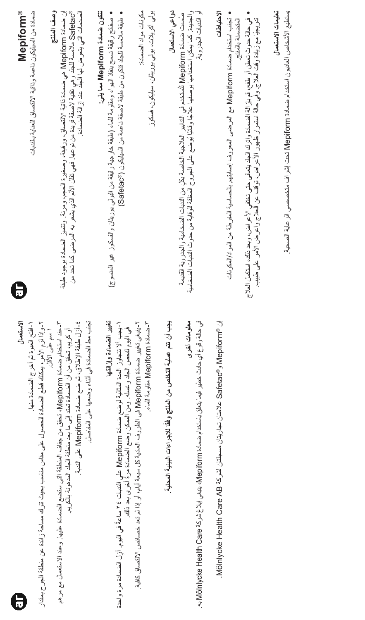| المتضمنة بالمنتج<br>الأربيل في المستمر المتعامل المستمر المتعامل المستمر المستمر المستمر المستمر المستمر المستمر المستمر المستمر ال<br>المستمر المستمر المستمر المستمر المستمر المستمر المستمر المستمر المستمر المستمر المستمر المستمر المستمر المست<br>تجنب مط الضمانة في أثناء وضعها على المفاصل<br>في حالة رقوع أي حادث خطير فيما بتحلول باستخدام جنسادة Mepiform وبنيغي إيلاغ شركة من تجمع المركة بالا من القصائ<br>ان "Mepiform و"Safetac" علامتان تجاريتان مسجلتان لشركة Molniycke Health Care AB<br>۲-راڊا الرم الأولي ميڪنك قطع الصيدادة للحصول علي مقامان مذاهبتِ متوتُ تقرك مسلمة زائدة عن منطقة الجرح بمقار<br>۱۱<br>تغيير الضعادة وإزالتها<br>بنيته المجازة المستواتي والمستقام والمستول والمستول والمستقار والمستقار والمستقار والمستوات والمستوا<br>معلومات اخرى<br>٣- عند استخدام ضمادة Mepfforms ، تحقُّ من جفاف المنطقة التي ستَّضع الضمادة عليها. وعند الإستعمال مع مر هم<br>٤-أرْلَ طَبْقَةَ الإطْلاقَ، تُم ضَبع ضَمادة Mepiform على النَّبةِ.<br>م بالتوافي المجاز والمستخدم المستخدم المجاز والمستخدم المجاز والمستخدم المستخدم المستخدم المستخدم المستخدم المستخدم المستخدم المستخدم المستخدم المستخدم المستخدم المستخدم المستخدم المستخدم المستخدم المستخدم المستخدم المستخ<br>T-ضمانة Mepiform مقاومة للعاء.<br>۱-يجب الا تتجارز المدة المثانية لوضع ضمادة Mephform على الندبات ٢٤ ماحة في اليوم. أزل الضمادة مر ة و لحة<br>في اليوم افحص البطاء و غمله، ومن المعكن وضع الضمادة مرةً أخرى بعد ذلك.<br>أَرَّ مِنْ الْمُؤْتَّبِينَ وَالْمُؤْتَّبِينَ وَالْمُؤْتَّبِينَ وَالْمُؤْتَّبِينَ وَالْمُؤْتَّبِينَ وَالْمُؤْتَ | الاستعمال<br>a                       | Mepiform®                                                                                                                                                                                                                                                                                                                            |
|----------------------------------------------------------------------------------------------------------------------------------------------------------------------------------------------------------------------------------------------------------------------------------------------------------------------------------------------------------------------------------------------------------------------------------------------------------------------------------------------------------------------------------------------------------------------------------------------------------------------------------------------------------------------------------------------------------------------------------------------------------------------------------------------------------------------------------------------------------------------------------------------------------------------------------------------------------------------------------------------------------------------------------------------------------------------------------------------------------------------------------------------------------------------------------------------------------------------------------------------------------------------------------------------------------------------------------------------------------------------------------------------------------------------------------------------------------------------------------------------------------------------------------------------|--------------------------------------|--------------------------------------------------------------------------------------------------------------------------------------------------------------------------------------------------------------------------------------------------------------------------------------------------------------------------------------|
|                                                                                                                                                                                                                                                                                                                                                                                                                                                                                                                                                                                                                                                                                                                                                                                                                                                                                                                                                                                                                                                                                                                                                                                                                                                                                                                                                                                                                                                                                                                                              | ١- افتح العبوة ثم أخرج الضمادة منها. | ضمادة من السيليكون ناعمة وذاتية الالتصاق للعناية بالتنبات                                                                                                                                                                                                                                                                            |
|                                                                                                                                                                                                                                                                                                                                                                                                                                                                                                                                                                                                                                                                                                                                                                                                                                                                                                                                                                                                                                                                                                                                                                                                                                                                                                                                                                                                                                                                                                                                              |                                      | @Chetled لاستهداف البدا<br>الصدمات التي يتمرض لها البداد عند إز الة الضمادة :<br>الصدمات التي يتمرض لها البداد عند إز الة الضمادة :<br>وصف المنتج<br>إن ضمادة Mepiform هي ضمادة ذاتية (لالتصاق)، ورقيقة، وصخيرة الحجم، ومرنة. وتشيز الضمادة بوجود طبقة                                                                               |
|                                                                                                                                                                                                                                                                                                                                                                                                                                                                                                                                                                                                                                                                                                                                                                                                                                                                                                                                                                                                                                                                                                                                                                                                                                                                                                                                                                                                                                                                                                                                              |                                      | . ومائيل ( الله قيلة السياسية ) [ الله عليه الله عليه الله عليه الله عليه الله عليه الله عليه الله القياسية المسلمة المسلمة المسلمة المسلمة المسلمة المسلمة المسلمة المسلمة المسلمة المسلمة المسلمة المسلمة المسلمة المسلمة<br>● طبقة ملامسة للجلد تتكون من طبقة لاصقة ناعمة من السيليكون (©Safetac)<br>تتكون ضمادة Mepiform مما يلي |
|                                                                                                                                                                                                                                                                                                                                                                                                                                                                                                                                                                                                                                                                                                                                                                                                                                                                                                                                                                                                                                                                                                                                                                                                                                                                                                                                                                                                                                                                                                                                              |                                      | بولي اکرېلات، بولي يورېټان، سيليکون، فسکوز<br>مکہ نات مہ اد الضمادة                                                                                                                                                                                                                                                                  |
|                                                                                                                                                                                                                                                                                                                                                                                                                                                                                                                                                                                                                                                                                                                                                                                                                                                                                                                                                                                                                                                                                                                                                                                                                                                                                                                                                                                                                                                                                                                                              |                                      | دواعي الاستعمال                                                                                                                                                                                                                                                                                                                      |
|                                                                                                                                                                                                                                                                                                                                                                                                                                                                                                                                                                                                                                                                                                                                                                                                                                                                                                                                                                                                                                                                                                                                                                                                                                                                                                                                                                                                                                                                                                                                              |                                      | والجديدة. كما يعكن استخدامها بوصفها عامر كما والأخوار والمغلقة للوقائية من حدوث التدبات الخمخامية.<br>أو التنبات الجدروية.<br>ملمعت General Meplicum أثنيتكم في التكاور العارجية الخاصة بكل من القبات الخنخامية والجزوية القيعة                                                                                                      |
|                                                                                                                                                                                                                                                                                                                                                                                                                                                                                                                                                                                                                                                                                                                                                                                                                                                                                                                                                                                                                                                                                                                                                                                                                                                                                                                                                                                                                                                                                                                                              |                                      | ● تُجَنَّبُ استَخَدَام ضَعادَة CED SpaleD مع المرضى الصروف إصابتَهم بالحساسية المفرطة من المواد الكوادات<br>الاحتماطات                                                                                                                                                                                                               |
|                                                                                                                                                                                                                                                                                                                                                                                                                                                                                                                                                                                                                                                                                                                                                                                                                                                                                                                                                                                                                                                                                                                                                                                                                                                                                                                                                                                                                                                                                                                                              |                                      |                                                                                                                                                                                                                                                                                                                                      |
|                                                                                                                                                                                                                                                                                                                                                                                                                                                                                                                                                                                                                                                                                                                                                                                                                                                                                                                                                                                                                                                                                                                                                                                                                                                                                                                                                                                                                                                                                                                                              |                                      | تطيعات الاستعمال<br>يستطيع الأشخاص العاديون استخدام ضمادة Mepiform تحت إثبراف متخصصي الرعاية الصحية.                                                                                                                                                                                                                                 |
|                                                                                                                                                                                                                                                                                                                                                                                                                                                                                                                                                                                                                                                                                                                                                                                                                                                                                                                                                                                                                                                                                                                                                                                                                                                                                                                                                                                                                                                                                                                                              |                                      |                                                                                                                                                                                                                                                                                                                                      |

مقاس مذلسب بحيث تقرك مساحة زائدة عن منطقة الجرح بعقار.<br>مقاس مذلسب بحيث تقرك مساحة زائدة عن منطقة الجرح بعقار.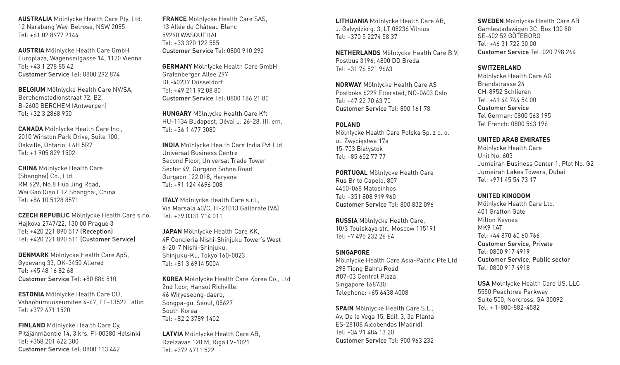**AUSTRALIA** Mölnlycke Health Care Pty. Ltd. 12 Narabang Way, Belrose, NSW 2085 Tel: +61 02 8977 2144

**AUSTRIA** Mölnlycke Health Care GmbH Europlaza, Wagenseilgasse 14, 1120 Vienna Tel: +43 1 278 85 42 Customer Service Tel: 0800 292 874

**BELGIUM** Mölnlycke Health Care NV/SA, Berchemstadionstraat 72, B2, B-2600 BERCHEM (Antwerpen) Tel: +32 3 2868 950

**CANADA** Mölnlycke Health Care Inc., 2010 Winston Park Drive, Suite 100, Oakville, Ontario, L6H 5R7 Tel: +1 905 829 1502

**CHINA** Mölnlycke Health Care (Shanghai) Co., Ltd. RM 629, No.8 Hua Jing Road, Wai Gao Qiao FTZ Shanghai, China Tel: +86 10 5128 8571

**CZECH REPUBLIC** Mölnlycke Health Care s.r.o. Hajkova 2747/22, 130 00 Prague 3 Tel: +420 221 890 517 (Reception) Tel: +420 221 890 511 (Customer Service)

**DENMARK** Mölnlycke Health Care ApS, Gydevang 33, DK-3450 Allerød Tel: +45 48 16 82 68 Customer Service Tel: +80 886 810

**ESTONIA** Mölnlycke Health Care OÜ, Vabaõhumuuseumitee 4-67, EE-13522 Tallin Tel: +372 671 1520

**FINLAND** Mölnlycke Health Care Oy, Pitäjänmäentie 14, 3 krs, FI-00380 Helsinki Tel: +358 201 622 300 Customer Service Tel: 0800 113 442

**FRANCE** Mölnlycke Health Care SAS, 13 Allée du Château Blanc 59290 WASQUEHAL Tel: +33 320 122 555 Customer Service Tel: 0800 910 292

**GERMANY** Mölnlycke Health Care GmbH Grafenberger Allee 297 DE-40237 Düsseldorf Tel: +49 211 92 08 80 Customer Service Tel: 0800 186 21 80

**HUNGARY** Mölnlycke Health Care Kft HU-1134 Budapest, Dévai u. 26-28. III. em. Tel: +36 1 477 3080

**INDIA** Mölnlycke Health Care India Pvt Ltd Universal Business Centre Second Floor, Universal Trade Tower Sector 49, Gurgaon Sohna Road Gurgaon 122 018, Haryana Tel: +91 124 4696 008

**ITALY** Mölnlycke Health Care s.r.l., Via Marsala 40/C, IT-21013 Gallarate (VA) Tel: +39 0331 714 011

**JAPAN** Mölnlycke Health Care KK, 4F Concieria Nishi-Shinjuku Tower's West 6-20-7 Nishi-Shinjuku, Shinjuku-Ku, Tokyo 160-0023 Tel: +81 3 6914 5004

**KOREA** Mölnlycke Health Care Korea Co., Ltd 2nd floor, Hansol Richville. 46 Wiryeseong-daero, Songpa-gu, Seoul, 05627 South Korea Tel: +82 2 3789 1402

**LATVIA** Mölnlycke Health Care AB, Dzelzavas 120 M, Riga LV-1021 Tel: +372 6711 522

**LITHUANIA** Mölnlycke Health Care AB, J. Galvydzio g. 3, LT 08236 Vilnius Tel: +370 5 2274 58 37

**NETHERLANDS** Mölnlycke Health Care B.V. Postbus 3196, 4800 DD Breda Tel: +31 76 521 9663

**NORWAY** Mölnlycke Health Care AS Postboks 6229 Etterstad, NO-0603 Oslo Tel: +47 22 70 63 70 Customer Service Tel: 800 161 78

#### **POLAND**

Mölnlycke Health Care Polska Sp. z o. o. ul. Zwycięstwa 17a 15-703 Białystok Tel: +85 652 77 77

**PORTUGAL** Mölnlycke Health Care Rua Brito Capelo, 807 4450-068 Matosinhos Tel: +351 808 919 960 Customer Service Tel: 800 832 096

**RUSSIA** Mölnlycke Health Care, 10/3 Toulskaya str., Moscow 115191 Tel: +7 495 232 26 64

#### **SINGAPORE**

Mölnlycke Health Care Asia-Pacific Pte Ltd 298 Tiong Bahru Road #07-03 Central Plaza Singapore 168730 Telephone: +65 6438 4008

**SPAIN** Mölnlycke Health Care S.L., Av. De la Vega 15, Edif. 3, 3a Planta ES-28108 Alcobendas (Madrid) Tel: +34 91 484 13 20 Customer Service Tel: 900 963 232

**SWEDEN** Mölnlycke Health Care AB Gamlestadsvägen 3C, Box 130 80 SE-402 52 GÖTEBORG Tel: +46 31 722 30 00 Customer Service Tel: 020 798 264

#### **SWITZERLAND**

Mölnlycke Health Care AG Brandstrasse 24 CH-8952 Schlieren Tel: +41 44 744 54 00 Customer Service Tel German: 0800 563 195 Tel French: 0800 563 196

#### **UNITED ARAB EMIRATES**

Mölnlycke Health Care Unit No. 603 Jumeirah Business Center 1, Plot No. G2 Jumeirah Lakes Towers, Dubai Tel: +971 45 54 73 17

#### **UNITED KINGDOM**

Mölnlycke Health Care Ltd. 401 Grafton Gate Milton Keynes MK9 1AT Tel: +44 870 60 60 766 Customer Service, Private Tel: 0800 917 4919 Customer Service, Public sector Tel: 0800 917 4918

**USA** Molnlycke Health Care US, LLC 5550 Peachtree Parkway Suite 500, Norcross, GA 30092

Tel: + 1-800-882-4582